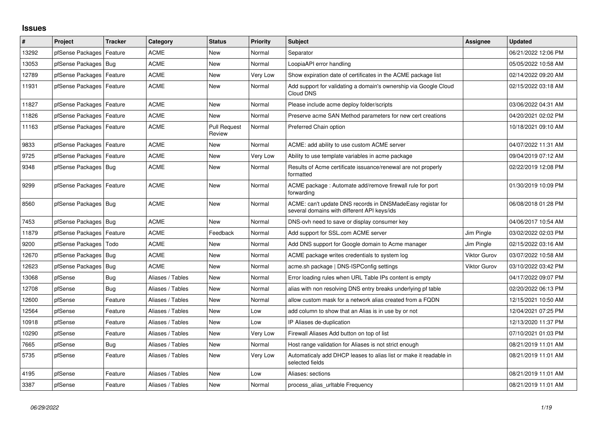## **Issues**

| #     | Project                    | <b>Tracker</b> | Category         | <b>Status</b>                 | <b>Priority</b> | <b>Subject</b>                                                                                            | Assignee            | <b>Updated</b>      |
|-------|----------------------------|----------------|------------------|-------------------------------|-----------------|-----------------------------------------------------------------------------------------------------------|---------------------|---------------------|
| 13292 | pfSense Packages           | Feature        | ACME             | New                           | Normal          | Separator                                                                                                 |                     | 06/21/2022 12:06 PM |
| 13053 | pfSense Packages   Bug     |                | <b>ACME</b>      | <b>New</b>                    | Normal          | LoopiaAPI error handling                                                                                  |                     | 05/05/2022 10:58 AM |
| 12789 | pfSense Packages           | Feature        | ACME             | New                           | Very Low        | Show expiration date of certificates in the ACME package list                                             |                     | 02/14/2022 09:20 AM |
| 11931 | pfSense Packages   Feature |                | ACME             | <b>New</b>                    | Normal          | Add support for validating a domain's ownership via Google Cloud<br>Cloud DNS                             |                     | 02/15/2022 03:18 AM |
| 11827 | pfSense Packages   Feature |                | <b>ACME</b>      | <b>New</b>                    | Normal          | Please include acme deploy folder/scripts                                                                 |                     | 03/06/2022 04:31 AM |
| 11826 | pfSense Packages   Feature |                | <b>ACME</b>      | <b>New</b>                    | Normal          | Preserve acme SAN Method parameters for new cert creations                                                |                     | 04/20/2021 02:02 PM |
| 11163 | pfSense Packages   Feature |                | ACME             | <b>Pull Request</b><br>Review | Normal          | Preferred Chain option                                                                                    |                     | 10/18/2021 09:10 AM |
| 9833  | pfSense Packages   Feature |                | <b>ACME</b>      | New                           | Normal          | ACME: add ability to use custom ACME server                                                               |                     | 04/07/2022 11:31 AM |
| 9725  | pfSense Packages   Feature |                | <b>ACME</b>      | New                           | Very Low        | Ability to use template variables in acme package                                                         |                     | 09/04/2019 07:12 AM |
| 9348  | pfSense Packages   Bug     |                | <b>ACME</b>      | New                           | Normal          | Results of Acme certificate issuance/renewal are not properly<br>formatted                                |                     | 02/22/2019 12:08 PM |
| 9299  | pfSense Packages   Feature |                | <b>ACME</b>      | New                           | Normal          | ACME package : Automate add/remove firewall rule for port<br>forwarding                                   |                     | 01/30/2019 10:09 PM |
| 8560  | pfSense Packages   Bug     |                | <b>ACME</b>      | New                           | Normal          | ACME: can't update DNS records in DNSMadeEasy registar for<br>several domains with different API keys/ids |                     | 06/08/2018 01:28 PM |
| 7453  | pfSense Packages   Bug     |                | <b>ACME</b>      | <b>New</b>                    | Normal          | DNS-ovh need to save or display consumer key                                                              |                     | 04/06/2017 10:54 AM |
| 11879 | pfSense Packages   Feature |                | ACME             | Feedback                      | Normal          | Add support for SSL.com ACME server                                                                       | Jim Pingle          | 03/02/2022 02:03 PM |
| 9200  | pfSense Packages           | Todo           | <b>ACME</b>      | <b>New</b>                    | Normal          | Add DNS support for Google domain to Acme manager                                                         | Jim Pingle          | 02/15/2022 03:16 AM |
| 12670 | pfSense Packages           | Bug            | <b>ACME</b>      | New                           | Normal          | ACME package writes credentials to system log                                                             | <b>Viktor Gurov</b> | 03/07/2022 10:58 AM |
| 12623 | pfSense Packages   Bug     |                | <b>ACME</b>      | <b>New</b>                    | Normal          | acme.sh package   DNS-ISPConfig settings                                                                  | <b>Viktor Gurov</b> | 03/10/2022 03:42 PM |
| 13068 | pfSense                    | Bug            | Aliases / Tables | New                           | Normal          | Error loading rules when URL Table IPs content is empty                                                   |                     | 04/17/2022 09:07 PM |
| 12708 | pfSense                    | Bug            | Aliases / Tables | <b>New</b>                    | Normal          | alias with non resolving DNS entry breaks underlying pf table                                             |                     | 02/20/2022 06:13 PM |
| 12600 | pfSense                    | Feature        | Aliases / Tables | New                           | Normal          | allow custom mask for a network alias created from a FQDN                                                 |                     | 12/15/2021 10:50 AM |
| 12564 | pfSense                    | Feature        | Aliases / Tables | New                           | Low             | add column to show that an Alias is in use by or not                                                      |                     | 12/04/2021 07:25 PM |
| 10918 | pfSense                    | Feature        | Aliases / Tables | New                           | Low             | IP Aliases de-duplication                                                                                 |                     | 12/13/2020 11:37 PM |
| 10290 | pfSense                    | Feature        | Aliases / Tables | New                           | Very Low        | Firewall Aliases Add button on top of list                                                                |                     | 07/10/2021 01:03 PM |
| 7665  | pfSense                    | Bug            | Aliases / Tables | New                           | Normal          | Host range validation for Aliases is not strict enough                                                    |                     | 08/21/2019 11:01 AM |
| 5735  | pfSense                    | Feature        | Aliases / Tables | New                           | Very Low        | Automaticaly add DHCP leases to alias list or make it readable in<br>selected fields                      |                     | 08/21/2019 11:01 AM |
| 4195  | pfSense                    | Feature        | Aliases / Tables | <b>New</b>                    | Low             | Aliases: sections                                                                                         |                     | 08/21/2019 11:01 AM |
| 3387  | pfSense                    | Feature        | Aliases / Tables | New                           | Normal          | process alias uritable Frequency                                                                          |                     | 08/21/2019 11:01 AM |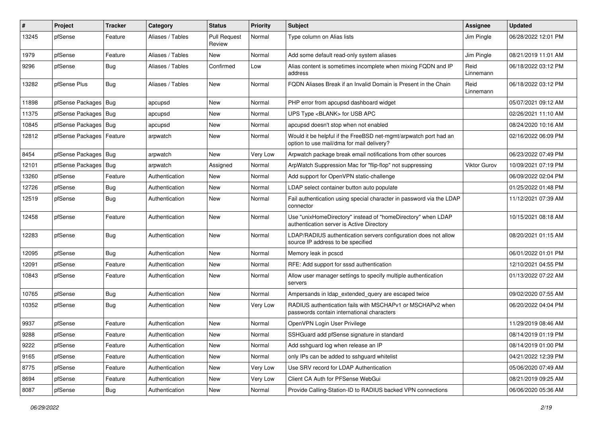| $\pmb{\#}$ | Project          | <b>Tracker</b> | Category         | <b>Status</b>                 | <b>Priority</b> | <b>Subject</b>                                                                                                | Assignee          | <b>Updated</b>      |
|------------|------------------|----------------|------------------|-------------------------------|-----------------|---------------------------------------------------------------------------------------------------------------|-------------------|---------------------|
| 13245      | pfSense          | Feature        | Aliases / Tables | <b>Pull Request</b><br>Review | Normal          | Type column on Alias lists                                                                                    | Jim Pingle        | 06/28/2022 12:01 PM |
| 1979       | pfSense          | Feature        | Aliases / Tables | New                           | Normal          | Add some default read-only system aliases                                                                     | Jim Pingle        | 08/21/2019 11:01 AM |
| 9296       | pfSense          | Bug            | Aliases / Tables | Confirmed                     | Low             | Alias content is sometimes incomplete when mixing FQDN and IP<br>address                                      | Reid<br>Linnemann | 06/18/2022 03:12 PM |
| 13282      | pfSense Plus     | Bug            | Aliases / Tables | New                           | Normal          | FQDN Aliases Break if an Invalid Domain is Present in the Chain                                               | Reid<br>Linnemann | 06/18/2022 03:12 PM |
| 11898      | pfSense Packages | Bug            | apcupsd          | New                           | Normal          | PHP error from apcupsd dashboard widget                                                                       |                   | 05/07/2021 09:12 AM |
| 11375      | pfSense Packages | Bug            | apcupsd          | New                           | Normal          | UPS Type <blank> for USB APC</blank>                                                                          |                   | 02/26/2021 11:10 AM |
| 10845      | pfSense Packages | Bug            | apcupsd          | New                           | Normal          | apcupsd doesn't stop when not enabled                                                                         |                   | 08/24/2020 10:16 AM |
| 12812      | pfSense Packages | Feature        | arpwatch         | New                           | Normal          | Would it be helpful if the FreeBSD net-mgmt/arpwatch port had an<br>option to use mail/dma for mail delivery? |                   | 02/16/2022 06:09 PM |
| 8454       | pfSense Packages | Bug            | arpwatch         | New                           | Very Low        | Arpwatch package break email notifications from other sources                                                 |                   | 06/23/2022 07:49 PM |
| 12101      | pfSense Packages | Bug            | arpwatch         | Assigned                      | Normal          | ArpWatch Suppression Mac for "flip-flop" not suppressing                                                      | Viktor Gurov      | 10/09/2021 07:19 PM |
| 13260      | pfSense          | Feature        | Authentication   | New                           | Normal          | Add support for OpenVPN static-challenge                                                                      |                   | 06/09/2022 02:04 PM |
| 12726      | pfSense          | Bug            | Authentication   | New                           | Normal          | LDAP select container button auto populate                                                                    |                   | 01/25/2022 01:48 PM |
| 12519      | pfSense          | Bug            | Authentication   | New                           | Normal          | Fail authentication using special character in password via the LDAP<br>connector                             |                   | 11/12/2021 07:39 AM |
| 12458      | pfSense          | Feature        | Authentication   | New                           | Normal          | Use "unixHomeDirectory" instead of "homeDirectory" when LDAP<br>authentication server is Active Directory     |                   | 10/15/2021 08:18 AM |
| 12283      | pfSense          | Bug            | Authentication   | New                           | Normal          | LDAP/RADIUS authentication servers configuration does not allow<br>source IP address to be specified          |                   | 08/20/2021 01:15 AM |
| 12095      | pfSense          | <b>Bug</b>     | Authentication   | New                           | Normal          | Memory leak in pcscd                                                                                          |                   | 06/01/2022 01:01 PM |
| 12091      | pfSense          | Feature        | Authentication   | New                           | Normal          | RFE: Add support for sssd authentication                                                                      |                   | 12/10/2021 04:55 PM |
| 10843      | pfSense          | Feature        | Authentication   | <b>New</b>                    | Normal          | Allow user manager settings to specify multiple authentication<br>servers                                     |                   | 01/13/2022 07:22 AM |
| 10765      | pfSense          | Bug            | Authentication   | New                           | Normal          | Ampersands in Idap extended query are escaped twice                                                           |                   | 09/02/2020 07:55 AM |
| 10352      | pfSense          | Bug            | Authentication   | New                           | Very Low        | RADIUS authentication fails with MSCHAPv1 or MSCHAPv2 when<br>passwords contain international characters      |                   | 06/20/2022 04:04 PM |
| 9937       | pfSense          | Feature        | Authentication   | New                           | Normal          | OpenVPN Login User Privilege                                                                                  |                   | 11/29/2019 08:46 AM |
| 9288       | pfSense          | Feature        | Authentication   | <b>New</b>                    | Normal          | SSHGuard add pfSense signature in standard                                                                    |                   | 08/14/2019 01:19 PM |
| 9222       | pfSense          | Feature        | Authentication   | New                           | Normal          | Add sshguard log when release an IP                                                                           |                   | 08/14/2019 01:00 PM |
| 9165       | pfSense          | Feature        | Authentication   | New                           | Normal          | only IPs can be added to sshguard whitelist                                                                   |                   | 04/21/2022 12:39 PM |
| 8775       | pfSense          | Feature        | Authentication   | New                           | Very Low        | Use SRV record for LDAP Authentication                                                                        |                   | 05/06/2020 07:49 AM |
| 8694       | pfSense          | Feature        | Authentication   | New                           | Very Low        | Client CA Auth for PFSense WebGui                                                                             |                   | 08/21/2019 09:25 AM |
| 8087       | pfSense          | <b>Bug</b>     | Authentication   | New                           | Normal          | Provide Calling-Station-ID to RADIUS backed VPN connections                                                   |                   | 06/06/2020 05:36 AM |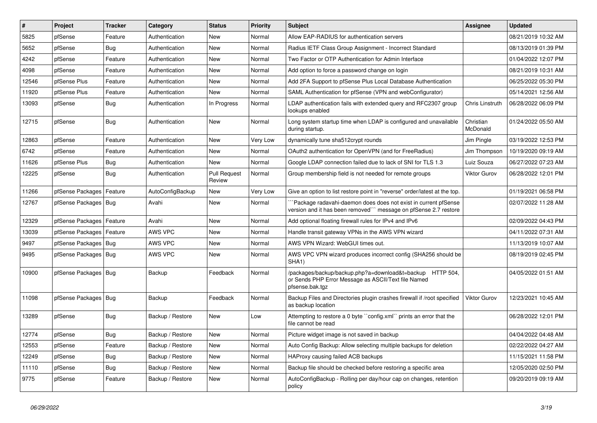| $\vert$ # | Project                    | <b>Tracker</b> | Category         | <b>Status</b>                 | <b>Priority</b> | <b>Subject</b>                                                                                                                      | Assignee              | <b>Updated</b>      |
|-----------|----------------------------|----------------|------------------|-------------------------------|-----------------|-------------------------------------------------------------------------------------------------------------------------------------|-----------------------|---------------------|
| 5825      | pfSense                    | Feature        | Authentication   | <b>New</b>                    | Normal          | Allow EAP-RADIUS for authentication servers                                                                                         |                       | 08/21/2019 10:32 AM |
| 5652      | pfSense                    | <b>Bug</b>     | Authentication   | <b>New</b>                    | Normal          | Radius IETF Class Group Assignment - Incorrect Standard                                                                             |                       | 08/13/2019 01:39 PM |
| 4242      | pfSense                    | Feature        | Authentication   | <b>New</b>                    | Normal          | Two Factor or OTP Authentication for Admin Interface                                                                                |                       | 01/04/2022 12:07 PM |
| 4098      | pfSense                    | Feature        | Authentication   | <b>New</b>                    | Normal          | Add option to force a password change on login                                                                                      |                       | 08/21/2019 10:31 AM |
| 12546     | pfSense Plus               | Feature        | Authentication   | <b>New</b>                    | Normal          | Add 2FA Support to pfSense Plus Local Database Authentication                                                                       |                       | 06/25/2022 05:30 PM |
| 11920     | pfSense Plus               | Feature        | Authentication   | New                           | Normal          | SAML Authentication for pfSense (VPN and webConfigurator)                                                                           |                       | 05/14/2021 12:56 AM |
| 13093     | pfSense                    | Bug            | Authentication   | In Progress                   | Normal          | LDAP authentication fails with extended query and RFC2307 group<br>lookups enabled                                                  | Chris Linstruth       | 06/28/2022 06:09 PM |
| 12715     | pfSense                    | <b>Bug</b>     | Authentication   | New                           | Normal          | Long system startup time when LDAP is configured and unavailable<br>during startup.                                                 | Christian<br>McDonald | 01/24/2022 05:50 AM |
| 12863     | pfSense                    | Feature        | Authentication   | <b>New</b>                    | Very Low        | dynamically tune sha512crypt rounds                                                                                                 | Jim Pingle            | 03/19/2022 12:53 PM |
| 6742      | pfSense                    | Feature        | Authentication   | <b>New</b>                    | Normal          | OAuth2 authentication for OpenVPN (and for FreeRadius)                                                                              | Jim Thompson          | 10/19/2020 09:19 AM |
| 11626     | pfSense Plus               | Bug            | Authentication   | <b>New</b>                    | Normal          | Google LDAP connection failed due to lack of SNI for TLS 1.3                                                                        | Luiz Souza            | 06/27/2022 07:23 AM |
| 12225     | pfSense                    | Bug            | Authentication   | <b>Pull Request</b><br>Review | Normal          | Group membership field is not needed for remote groups                                                                              | <b>Viktor Gurov</b>   | 06/28/2022 12:01 PM |
| 11266     | pfSense Packages           | Feature        | AutoConfigBackup | New                           | Very Low        | Give an option to list restore point in "reverse" order/latest at the top.                                                          |                       | 01/19/2021 06:58 PM |
| 12767     | pfSense Packages   Bug     |                | Avahi            | New                           | Normal          | Package radavahi-daemon does does not exist in current pfSense<br>version and it has been removed" message on pfSense 2.7 restore   |                       | 02/07/2022 11:28 AM |
| 12329     | pfSense Packages   Feature |                | Avahi            | New                           | Normal          | Add optional floating firewall rules for IPv4 and IPv6                                                                              |                       | 02/09/2022 04:43 PM |
| 13039     | pfSense Packages   Feature |                | AWS VPC          | New                           | Normal          | Handle transit gateway VPNs in the AWS VPN wizard                                                                                   |                       | 04/11/2022 07:31 AM |
| 9497      | pfSense Packages   Bug     |                | AWS VPC          | New                           | Normal          | AWS VPN Wizard: WebGUI times out.                                                                                                   |                       | 11/13/2019 10:07 AM |
| 9495      | pfSense Packages   Bug     |                | AWS VPC          | <b>New</b>                    | Normal          | AWS VPC VPN wizard produces incorrect config (SHA256 should be<br>SHA <sub>1</sub> )                                                |                       | 08/19/2019 02:45 PM |
| 10900     | pfSense Packages   Bug     |                | Backup           | Feedback                      | Normal          | /packages/backup/backup.php?a=download&t=backup HTTP 504,<br>or Sends PHP Error Message as ASCII/Text file Named<br>pfsense.bak.tgz |                       | 04/05/2022 01:51 AM |
| 11098     | pfSense Packages   Bug     |                | Backup           | Feedback                      | Normal          | Backup Files and Directories plugin crashes firewall if /root specified<br>as backup location                                       | <b>Viktor Gurov</b>   | 12/23/2021 10:45 AM |
| 13289     | pfSense                    | Bug            | Backup / Restore | <b>New</b>                    | Low             | Attempting to restore a 0 byte "config.xml" prints an error that the<br>file cannot be read                                         |                       | 06/28/2022 12:01 PM |
| 12774     | pfSense                    | Bug            | Backup / Restore | New                           | Normal          | Picture widget image is not saved in backup                                                                                         |                       | 04/04/2022 04:48 AM |
| 12553     | pfSense                    | Feature        | Backup / Restore | New                           | Normal          | Auto Config Backup: Allow selecting multiple backups for deletion                                                                   |                       | 02/22/2022 04:27 AM |
| 12249     | pfSense                    | <b>Bug</b>     | Backup / Restore | New                           | Normal          | HAProxy causing failed ACB backups                                                                                                  |                       | 11/15/2021 11:58 PM |
| 11110     | pfSense                    | <b>Bug</b>     | Backup / Restore | New                           | Normal          | Backup file should be checked before restoring a specific area                                                                      |                       | 12/05/2020 02:50 PM |
| 9775      | pfSense                    | Feature        | Backup / Restore | <b>New</b>                    | Normal          | AutoConfigBackup - Rolling per day/hour cap on changes, retention<br>policy                                                         |                       | 09/20/2019 09:19 AM |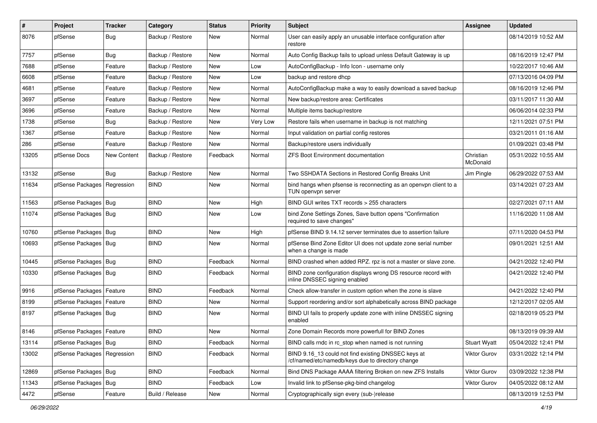| #     | Project                       | <b>Tracker</b>     | Category         | <b>Status</b> | <b>Priority</b> | <b>Subject</b>                                                                                           | Assignee              | <b>Updated</b>      |
|-------|-------------------------------|--------------------|------------------|---------------|-----------------|----------------------------------------------------------------------------------------------------------|-----------------------|---------------------|
| 8076  | pfSense                       | <b>Bug</b>         | Backup / Restore | New           | Normal          | User can easily apply an unusable interface configuration after<br>restore                               |                       | 08/14/2019 10:52 AM |
| 7757  | pfSense                       | <b>Bug</b>         | Backup / Restore | New           | Normal          | Auto Config Backup fails to upload unless Default Gateway is up                                          |                       | 08/16/2019 12:47 PM |
| 7688  | pfSense                       | Feature            | Backup / Restore | New           | Low             | AutoConfigBackup - Info Icon - username only                                                             |                       | 10/22/2017 10:46 AM |
| 6608  | pfSense                       | Feature            | Backup / Restore | <b>New</b>    | Low             | backup and restore dhcp                                                                                  |                       | 07/13/2016 04:09 PM |
| 4681  | pfSense                       | Feature            | Backup / Restore | New           | Normal          | AutoConfigBackup make a way to easily download a saved backup                                            |                       | 08/16/2019 12:46 PM |
| 3697  | pfSense                       | Feature            | Backup / Restore | New           | Normal          | New backup/restore area: Certificates                                                                    |                       | 03/11/2017 11:30 AM |
| 3696  | pfSense                       | Feature            | Backup / Restore | New           | Normal          | Multiple items backup/restore                                                                            |                       | 06/06/2014 02:33 PM |
| 1738  | pfSense                       | <b>Bug</b>         | Backup / Restore | New           | Very Low        | Restore fails when username in backup is not matching                                                    |                       | 12/11/2021 07:51 PM |
| 1367  | pfSense                       | Feature            | Backup / Restore | New           | Normal          | Input validation on partial config restores                                                              |                       | 03/21/2011 01:16 AM |
| 286   | pfSense                       | Feature            | Backup / Restore | New           | Normal          | Backup/restore users individually                                                                        |                       | 01/09/2021 03:48 PM |
| 13205 | pfSense Docs                  | <b>New Content</b> | Backup / Restore | Feedback      | Normal          | <b>ZFS Boot Environment documentation</b>                                                                | Christian<br>McDonald | 05/31/2022 10:55 AM |
| 13132 | pfSense                       | Bug                | Backup / Restore | <b>New</b>    | Normal          | Two SSHDATA Sections in Restored Config Breaks Unit                                                      | Jim Pingle            | 06/29/2022 07:53 AM |
| 11634 | pfSense Packages              | Regression         | <b>BIND</b>      | New           | Normal          | bind hangs when pfsense is reconnecting as an openypn client to a<br>TUN openypn server                  |                       | 03/14/2021 07:23 AM |
| 11563 | pfSense Packages   Bug        |                    | <b>BIND</b>      | New           | High            | BIND GUI writes TXT records > 255 characters                                                             |                       | 02/27/2021 07:11 AM |
| 11074 | pfSense Packages   Bug        |                    | <b>BIND</b>      | New           | Low             | bind Zone Settings Zones, Save button opens "Confirmation<br>required to save changes"                   |                       | 11/16/2020 11:08 AM |
| 10760 | pfSense Packages   Bug        |                    | <b>BIND</b>      | <b>New</b>    | High            | pfSense BIND 9.14.12 server terminates due to assertion failure                                          |                       | 07/11/2020 04:53 PM |
| 10693 | pfSense Packages   Bug        |                    | <b>BIND</b>      | New           | Normal          | pfSense Bind Zone Editor UI does not update zone serial number<br>when a change is made                  |                       | 09/01/2021 12:51 AM |
| 10445 | pfSense Packages   Bug        |                    | <b>BIND</b>      | Feedback      | Normal          | BIND crashed when added RPZ. rpz is not a master or slave zone.                                          |                       | 04/21/2022 12:40 PM |
| 10330 | pfSense Packages   Bug        |                    | <b>BIND</b>      | Feedback      | Normal          | BIND zone configuration displays wrong DS resource record with<br>inline DNSSEC signing enabled          |                       | 04/21/2022 12:40 PM |
| 9916  | pfSense Packages              | Feature            | <b>BIND</b>      | Feedback      | Normal          | Check allow-transfer in custom option when the zone is slave                                             |                       | 04/21/2022 12:40 PM |
| 8199  | pfSense Packages              | Feature            | <b>BIND</b>      | New           | Normal          | Support reordering and/or sort alphabetically across BIND package                                        |                       | 12/12/2017 02:05 AM |
| 8197  | pfSense Packages   Bug        |                    | <b>BIND</b>      | New           | Normal          | BIND UI fails to properly update zone with inline DNSSEC signing<br>enabled                              |                       | 02/18/2019 05:23 PM |
| 8146  | pfSense Packages   Feature    |                    | <b>BIND</b>      | New           | Normal          | Zone Domain Records more powerfull for BIND Zones                                                        |                       | 08/13/2019 09:39 AM |
| 13114 | pfSense Packages   Bug        |                    | <b>BIND</b>      | Feedback      | Normal          | BIND calls rndc in rc stop when named is not running                                                     | <b>Stuart Wyatt</b>   | 05/04/2022 12:41 PM |
| 13002 | pfSense Packages   Regression |                    | <b>BIND</b>      | Feedback      | Normal          | BIND 9.16_13 could not find existing DNSSEC keys at<br>/cf/named/etc/namedb/keys due to directory change | Viktor Gurov          | 03/31/2022 12:14 PM |
| 12869 | pfSense Packages   Bug        |                    | <b>BIND</b>      | Feedback      | Normal          | Bind DNS Package AAAA filtering Broken on new ZFS Installs                                               | Viktor Gurov          | 03/09/2022 12:38 PM |
| 11343 | pfSense Packages              | Bug                | <b>BIND</b>      | Feedback      | Low             | Invalid link to pfSense-pkg-bind changelog                                                               | Viktor Gurov          | 04/05/2022 08:12 AM |
| 4472  | pfSense                       | Feature            | Build / Release  | New           | Normal          | Cryptographically sign every (sub-)release                                                               |                       | 08/13/2019 12:53 PM |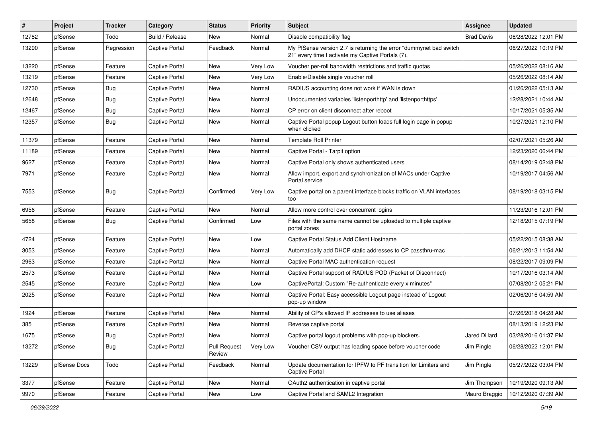| $\vert$ # | Project      | <b>Tracker</b> | Category              | <b>Status</b>                 | <b>Priority</b> | Subject                                                                                                                 | <b>Assignee</b>   | <b>Updated</b>      |
|-----------|--------------|----------------|-----------------------|-------------------------------|-----------------|-------------------------------------------------------------------------------------------------------------------------|-------------------|---------------------|
| 12782     | pfSense      | Todo           | Build / Release       | New                           | Normal          | Disable compatibility flag                                                                                              | <b>Brad Davis</b> | 06/28/2022 12:01 PM |
| 13290     | pfSense      | Regression     | <b>Captive Portal</b> | Feedback                      | Normal          | My PfSense version 2.7 is returning the error "dummynet bad switch<br>21" every time I activate my Captive Portals (7). |                   | 06/27/2022 10:19 PM |
| 13220     | pfSense      | Feature        | Captive Portal        | <b>New</b>                    | Very Low        | Voucher per-roll bandwidth restrictions and traffic quotas                                                              |                   | 05/26/2022 08:16 AM |
| 13219     | pfSense      | Feature        | <b>Captive Portal</b> | New                           | Very Low        | Enable/Disable single voucher roll                                                                                      |                   | 05/26/2022 08:14 AM |
| 12730     | pfSense      | <b>Bug</b>     | <b>Captive Portal</b> | New                           | Normal          | RADIUS accounting does not work if WAN is down                                                                          |                   | 01/26/2022 05:13 AM |
| 12648     | pfSense      | <b>Bug</b>     | <b>Captive Portal</b> | New                           | Normal          | Undocumented variables 'listenporthttp' and 'listenporthttps'                                                           |                   | 12/28/2021 10:44 AM |
| 12467     | pfSense      | <b>Bug</b>     | <b>Captive Portal</b> | <b>New</b>                    | Normal          | CP error on client disconnect after reboot                                                                              |                   | 10/17/2021 05:35 AM |
| 12357     | pfSense      | <b>Bug</b>     | <b>Captive Portal</b> | New                           | Normal          | Captive Portal popup Logout button loads full login page in popup<br>when clicked                                       |                   | 10/27/2021 12:10 PM |
| 11379     | pfSense      | Feature        | Captive Portal        | New                           | Normal          | <b>Template Roll Printer</b>                                                                                            |                   | 02/07/2021 05:26 AM |
| 11189     | pfSense      | Feature        | <b>Captive Portal</b> | <b>New</b>                    | Normal          | Captive Portal - Tarpit option                                                                                          |                   | 12/23/2020 06:44 PM |
| 9627      | pfSense      | Feature        | Captive Portal        | <b>New</b>                    | Normal          | Captive Portal only shows authenticated users                                                                           |                   | 08/14/2019 02:48 PM |
| 7971      | pfSense      | Feature        | <b>Captive Portal</b> | New                           | Normal          | Allow import, export and synchronization of MACs under Captive<br>Portal service                                        |                   | 10/19/2017 04:56 AM |
| 7553      | pfSense      | Bug            | Captive Portal        | Confirmed                     | Very Low        | Captive portal on a parent interface blocks traffic on VLAN interfaces<br>too                                           |                   | 08/19/2018 03:15 PM |
| 6956      | pfSense      | Feature        | Captive Portal        | <b>New</b>                    | Normal          | Allow more control over concurrent logins                                                                               |                   | 11/23/2016 12:01 PM |
| 5658      | pfSense      | Bug            | <b>Captive Portal</b> | Confirmed                     | Low             | Files with the same name cannot be uploaded to multiple captive<br>portal zones                                         |                   | 12/18/2015 07:19 PM |
| 4724      | pfSense      | Feature        | <b>Captive Portal</b> | New                           | Low             | Captive Portal Status Add Client Hostname                                                                               |                   | 05/22/2015 08:38 AM |
| 3053      | pfSense      | Feature        | Captive Portal        | New                           | Normal          | Automatically add DHCP static addresses to CP passthru-mac                                                              |                   | 06/21/2013 11:54 AM |
| 2963      | pfSense      | Feature        | <b>Captive Portal</b> | New                           | Normal          | Captive Portal MAC authentication request                                                                               |                   | 08/22/2017 09:09 PM |
| 2573      | pfSense      | Feature        | Captive Portal        | <b>New</b>                    | Normal          | Captive Portal support of RADIUS POD (Packet of Disconnect)                                                             |                   | 10/17/2016 03:14 AM |
| 2545      | pfSense      | Feature        | <b>Captive Portal</b> | New                           | Low             | CaptivePortal: Custom "Re-authenticate every x minutes"                                                                 |                   | 07/08/2012 05:21 PM |
| 2025      | pfSense      | Feature        | Captive Portal        | New                           | Normal          | Captive Portal: Easy accessible Logout page instead of Logout<br>pop-up window                                          |                   | 02/06/2016 04:59 AM |
| 1924      | pfSense      | Feature        | Captive Portal        | <b>New</b>                    | Normal          | Ability of CP's allowed IP addresses to use aliases                                                                     |                   | 07/26/2018 04:28 AM |
| 385       | pfSense      | Feature        | Captive Portal        | New                           | Normal          | Reverse captive portal                                                                                                  |                   | 08/13/2019 12:23 PM |
| 1675      | pfSense      | Bug            | Captive Portal        | New                           | Normal          | Captive portal logout problems with pop-up blockers.                                                                    | Jared Dillard     | 03/28/2016 01:37 PM |
| 13272     | pfSense      | <b>Bug</b>     | Captive Portal        | <b>Pull Request</b><br>Review | Very Low        | Voucher CSV output has leading space before voucher code                                                                | Jim Pingle        | 06/28/2022 12:01 PM |
| 13229     | pfSense Docs | Todo           | Captive Portal        | Feedback                      | Normal          | Update documentation for IPFW to PF transition for Limiters and<br><b>Captive Portal</b>                                | Jim Pingle        | 05/27/2022 03:04 PM |
| 3377      | pfSense      | Feature        | Captive Portal        | New                           | Normal          | OAuth2 authentication in captive portal                                                                                 | Jim Thompson      | 10/19/2020 09:13 AM |
| 9970      | pfSense      | Feature        | Captive Portal        | New                           | Low             | Captive Portal and SAML2 Integration                                                                                    | Mauro Braggio     | 10/12/2020 07:39 AM |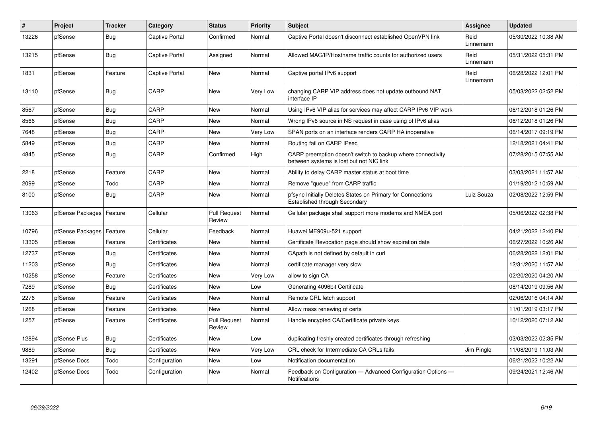| $\#$  | Project          | <b>Tracker</b> | Category              | <b>Status</b>                 | <b>Priority</b> | <b>Subject</b>                                                                                          | Assignee          | Updated             |
|-------|------------------|----------------|-----------------------|-------------------------------|-----------------|---------------------------------------------------------------------------------------------------------|-------------------|---------------------|
| 13226 | pfSense          | Bug            | Captive Portal        | Confirmed                     | Normal          | Captive Portal doesn't disconnect established OpenVPN link                                              | Reid<br>Linnemann | 05/30/2022 10:38 AM |
| 13215 | pfSense          | Bug            | <b>Captive Portal</b> | Assigned                      | Normal          | Allowed MAC/IP/Hostname traffic counts for authorized users                                             | Reid<br>Linnemann | 05/31/2022 05:31 PM |
| 1831  | pfSense          | Feature        | Captive Portal        | New                           | Normal          | Captive portal IPv6 support                                                                             | Reid<br>Linnemann | 06/28/2022 12:01 PM |
| 13110 | pfSense          | Bug            | CARP                  | New                           | Very Low        | changing CARP VIP address does not update outbound NAT<br>interface IP                                  |                   | 05/03/2022 02:52 PM |
| 8567  | pfSense          | Bug            | CARP                  | New                           | Normal          | Using IPv6 VIP alias for services may affect CARP IPv6 VIP work                                         |                   | 06/12/2018 01:26 PM |
| 8566  | pfSense          | <b>Bug</b>     | CARP                  | New                           | Normal          | Wrong IPv6 source in NS request in case using of IPv6 alias                                             |                   | 06/12/2018 01:26 PM |
| 7648  | pfSense          | <b>Bug</b>     | CARP                  | New                           | Very Low        | SPAN ports on an interface renders CARP HA inoperative                                                  |                   | 06/14/2017 09:19 PM |
| 5849  | pfSense          | Bug            | CARP                  | New                           | Normal          | Routing fail on CARP IPsec                                                                              |                   | 12/18/2021 04:41 PM |
| 4845  | pfSense          | <b>Bug</b>     | CARP                  | Confirmed                     | High            | CARP preemption doesn't switch to backup where connectivity<br>between systems is lost but not NIC link |                   | 07/28/2015 07:55 AM |
| 2218  | pfSense          | Feature        | CARP                  | <b>New</b>                    | Normal          | Ability to delay CARP master status at boot time                                                        |                   | 03/03/2021 11:57 AM |
| 2099  | pfSense          | Todo           | CARP                  | <b>New</b>                    | Normal          | Remove "queue" from CARP traffic                                                                        |                   | 01/19/2012 10:59 AM |
| 8100  | pfSense          | <b>Bug</b>     | CARP                  | New                           | Normal          | pfsync Initially Deletes States on Primary for Connections<br>Established through Secondary             | Luiz Souza        | 02/08/2022 12:59 PM |
| 13063 | pfSense Packages | Feature        | Cellular              | <b>Pull Request</b><br>Review | Normal          | Cellular package shall support more modems and NMEA port                                                |                   | 05/06/2022 02:38 PM |
| 10796 | pfSense Packages | Feature        | Cellular              | Feedback                      | Normal          | Huawei ME909u-521 support                                                                               |                   | 04/21/2022 12:40 PM |
| 13305 | pfSense          | Feature        | Certificates          | New                           | Normal          | Certificate Revocation page should show expiration date                                                 |                   | 06/27/2022 10:26 AM |
| 12737 | pfSense          | <b>Bug</b>     | Certificates          | <b>New</b>                    | Normal          | CApath is not defined by default in curl                                                                |                   | 06/28/2022 12:01 PM |
| 11203 | pfSense          | Bug            | Certificates          | New                           | Normal          | certificate manager very slow                                                                           |                   | 12/31/2020 11:57 AM |
| 10258 | pfSense          | Feature        | Certificates          | <b>New</b>                    | Very Low        | allow to sign CA                                                                                        |                   | 02/20/2020 04:20 AM |
| 7289  | pfSense          | <b>Bug</b>     | Certificates          | <b>New</b>                    | Low             | Generating 4096bit Certificate                                                                          |                   | 08/14/2019 09:56 AM |
| 2276  | pfSense          | Feature        | Certificates          | <b>New</b>                    | Normal          | Remote CRL fetch support                                                                                |                   | 02/06/2016 04:14 AM |
| 1268  | pfSense          | Feature        | Certificates          | <b>New</b>                    | Normal          | Allow mass renewing of certs                                                                            |                   | 11/01/2019 03:17 PM |
| 1257  | pfSense          | Feature        | Certificates          | <b>Pull Request</b><br>Review | Normal          | Handle encypted CA/Certificate private keys                                                             |                   | 10/12/2020 07:12 AM |
| 12894 | pfSense Plus     | <b>Bug</b>     | Certificates          | New                           | Low             | duplicating freshly created certificates through refreshing                                             |                   | 03/03/2022 02:35 PM |
| 9889  | pfSense          | <b>Bug</b>     | Certificates          | New                           | Very Low        | CRL check for Intermediate CA CRLs fails                                                                | Jim Pingle        | 11/08/2019 11:03 AM |
| 13291 | pfSense Docs     | Todo           | Configuration         | New                           | Low             | Notification documentation                                                                              |                   | 06/21/2022 10:22 AM |
| 12402 | pfSense Docs     | Todo           | Configuration         | New                           | Normal          | Feedback on Configuration - Advanced Configuration Options -<br>Notifications                           |                   | 09/24/2021 12:46 AM |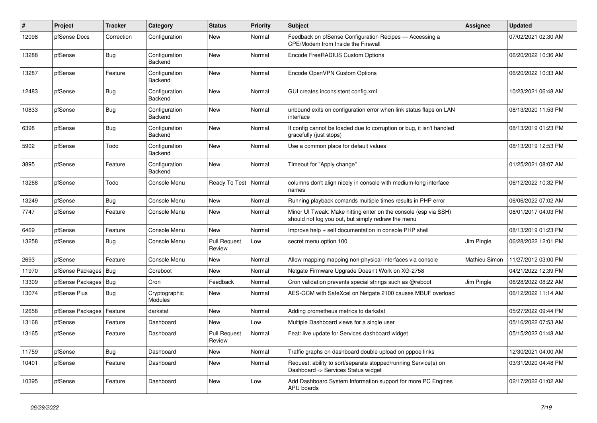| #     | Project                | <b>Tracker</b> | Category                        | <b>Status</b>                 | <b>Priority</b> | <b>Subject</b>                                                                                                        | Assignee      | <b>Updated</b>      |
|-------|------------------------|----------------|---------------------------------|-------------------------------|-----------------|-----------------------------------------------------------------------------------------------------------------------|---------------|---------------------|
| 12098 | pfSense Docs           | Correction     | Configuration                   | New                           | Normal          | Feedback on pfSense Configuration Recipes - Accessing a<br>CPE/Modem from Inside the Firewall                         |               | 07/02/2021 02:30 AM |
| 13288 | pfSense                | Bug            | Configuration<br>Backend        | New                           | Normal          | Encode FreeRADIUS Custom Options                                                                                      |               | 06/20/2022 10:36 AM |
| 13287 | pfSense                | Feature        | Configuration<br><b>Backend</b> | New                           | Normal          | Encode OpenVPN Custom Options                                                                                         |               | 06/20/2022 10:33 AM |
| 12483 | pfSense                | <b>Bug</b>     | Configuration<br>Backend        | New                           | Normal          | GUI creates inconsistent config.xml                                                                                   |               | 10/23/2021 06:48 AM |
| 10833 | pfSense                | <b>Bug</b>     | Configuration<br>Backend        | New                           | Normal          | unbound exits on configuration error when link status flaps on LAN<br>interface                                       |               | 08/13/2020 11:53 PM |
| 6398  | pfSense                | <b>Bug</b>     | Configuration<br>Backend        | New                           | Normal          | If config cannot be loaded due to corruption or bug, it isn't handled<br>gracefully (just stops)                      |               | 08/13/2019 01:23 PM |
| 5902  | pfSense                | Todo           | Configuration<br>Backend        | New                           | Normal          | Use a common place for default values                                                                                 |               | 08/13/2019 12:53 PM |
| 3895  | pfSense                | Feature        | Configuration<br>Backend        | <b>New</b>                    | Normal          | Timeout for "Apply change"                                                                                            |               | 01/25/2021 08:07 AM |
| 13268 | pfSense                | Todo           | Console Menu                    | Ready To Test                 | Normal          | columns don't align nicely in console with medium-long interface<br>names                                             |               | 06/12/2022 10:32 PM |
| 13249 | pfSense                | Bug            | Console Menu                    | New                           | Normal          | Running playback comands multiple times results in PHP error                                                          |               | 06/06/2022 07:02 AM |
| 7747  | pfSense                | Feature        | Console Menu                    | New                           | Normal          | Minor UI Tweak: Make hitting enter on the console (esp via SSH)<br>should not log you out, but simply redraw the menu |               | 08/01/2017 04:03 PM |
| 6469  | pfSense                | Feature        | Console Menu                    | <b>New</b>                    | Normal          | Improve help + self documentation in console PHP shell                                                                |               | 08/13/2019 01:23 PM |
| 13258 | pfSense                | <b>Bug</b>     | Console Menu                    | <b>Pull Request</b><br>Review | Low             | secret menu option 100                                                                                                | Jim Pingle    | 06/28/2022 12:01 PM |
| 2693  | pfSense                | Feature        | Console Menu                    | New                           | Normal          | Allow mapping mapping non-physical interfaces via console                                                             | Mathieu Simon | 11/27/2012 03:00 PM |
| 11970 | pfSense Packages   Bug |                | Coreboot                        | New                           | Normal          | Netgate Firmware Upgrade Doesn't Work on XG-2758                                                                      |               | 04/21/2022 12:39 PM |
| 13309 | pfSense Packages       | Bug            | Cron                            | Feedback                      | Normal          | Cron validation prevents special strings such as @reboot                                                              | Jim Pingle    | 06/28/2022 08:22 AM |
| 13074 | pfSense Plus           | <b>Bug</b>     | Cryptographic<br>Modules        | New                           | Normal          | AES-GCM with SafeXcel on Netgate 2100 causes MBUF overload                                                            |               | 06/12/2022 11:14 AM |
| 12658 | pfSense Packages       | Feature        | darkstat                        | <b>New</b>                    | Normal          | Adding prometheus metrics to darkstat                                                                                 |               | 05/27/2022 09:44 PM |
| 13168 | pfSense                | Feature        | Dashboard                       | New                           | Low             | Multiple Dashboard views for a single user                                                                            |               | 05/16/2022 07:53 AM |
| 13165 | pfSense                | Feature        | Dashboard                       | <b>Pull Request</b><br>Review | Normal          | Feat: live update for Services dashboard widget                                                                       |               | 05/15/2022 01:48 AM |
| 11759 | pfSense                | Bug            | Dashboard                       | New                           | Normal          | Traffic graphs on dashboard double upload on pppoe links                                                              |               | 12/30/2021 04:00 AM |
| 10401 | pfSense                | Feature        | Dashboard                       | New                           | Normal          | Request: ability to sort/separate stopped/running Service(s) on<br>Dashboard -> Services Status widget                |               | 03/31/2020 04:48 PM |
| 10395 | pfSense                | Feature        | Dashboard                       | New                           | Low             | Add Dashboard System Information support for more PC Engines<br>APU boards                                            |               | 02/17/2022 01:02 AM |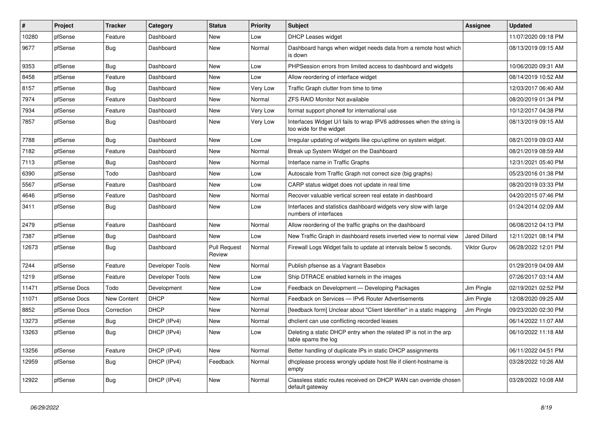| #     | Project      | <b>Tracker</b> | Category        | <b>Status</b>                 | <b>Priority</b> | <b>Subject</b>                                                                                   | <b>Assignee</b>     | <b>Updated</b>      |
|-------|--------------|----------------|-----------------|-------------------------------|-----------------|--------------------------------------------------------------------------------------------------|---------------------|---------------------|
| 10280 | pfSense      | Feature        | Dashboard       | New                           | Low             | <b>DHCP Leases widget</b>                                                                        |                     | 11/07/2020 09:18 PM |
| 9677  | pfSense      | Bug            | Dashboard       | New                           | Normal          | Dashboard hangs when widget needs data from a remote host which<br>is down                       |                     | 08/13/2019 09:15 AM |
| 9353  | pfSense      | <b>Bug</b>     | Dashboard       | New                           | Low             | PHPSession errors from limited access to dashboard and widgets                                   |                     | 10/06/2020 09:31 AM |
| 8458  | pfSense      | Feature        | Dashboard       | New                           | Low             | Allow reordering of interface widget                                                             |                     | 08/14/2019 10:52 AM |
| 8157  | pfSense      | <b>Bug</b>     | Dashboard       | New                           | Very Low        | Traffic Graph clutter from time to time                                                          |                     | 12/03/2017 06:40 AM |
| 7974  | pfSense      | Feature        | Dashboard       | New                           | Normal          | <b>ZFS RAID Monitor Not available</b>                                                            |                     | 08/20/2019 01:34 PM |
| 7934  | pfSense      | Feature        | Dashboard       | New                           | Very Low        | format support phone# for international use                                                      |                     | 10/12/2017 04:38 PM |
| 7857  | pfSense      | Bug            | Dashboard       | New                           | Very Low        | Interfaces Widget U/I fails to wrap IPV6 addresses when the string is<br>too wide for the widget |                     | 08/13/2019 09:15 AM |
| 7788  | pfSense      | Bug            | Dashboard       | New                           | Low             | Irregular updating of widgets like cpu/uptime on system widget.                                  |                     | 08/21/2019 09:03 AM |
| 7182  | pfSense      | Feature        | Dashboard       | New                           | Normal          | Break up System Widget on the Dashboard                                                          |                     | 08/21/2019 08:59 AM |
| 7113  | pfSense      | Bug            | Dashboard       | New                           | Normal          | Interface name in Traffic Graphs                                                                 |                     | 12/31/2021 05:40 PM |
| 6390  | pfSense      | Todo           | Dashboard       | New                           | Low             | Autoscale from Traffic Graph not correct size (big graphs)                                       |                     | 05/23/2016 01:38 PM |
| 5567  | pfSense      | Feature        | Dashboard       | New                           | Low             | CARP status widget does not update in real time                                                  |                     | 08/20/2019 03:33 PM |
| 4646  | pfSense      | Feature        | Dashboard       | New                           | Normal          | Recover valuable vertical screen real estate in dashboard                                        |                     | 04/20/2015 07:46 PM |
| 3411  | pfSense      | Bug            | Dashboard       | New                           | Low             | Interfaces and statistics dashboard widgets very slow with large<br>numbers of interfaces        |                     | 01/24/2014 02:09 AM |
| 2479  | pfSense      | Feature        | Dashboard       | New                           | Normal          | Allow reordering of the traffic graphs on the dashboard                                          |                     | 06/08/2012 04:13 PM |
| 7387  | pfSense      | <b>Bug</b>     | Dashboard       | New                           | Low             | New Traffic Graph in dashboard resets inverted view to normal view                               | Jared Dillard       | 12/11/2021 08:14 PM |
| 12673 | pfSense      | Bug            | Dashboard       | <b>Pull Request</b><br>Review | Normal          | Firewall Logs Widget fails to update at intervals below 5 seconds.                               | <b>Viktor Gurov</b> | 06/28/2022 12:01 PM |
| 7244  | pfSense      | Feature        | Developer Tools | New                           | Normal          | Publish pfsense as a Vagrant Basebox                                                             |                     | 01/29/2019 04:09 AM |
| 1219  | pfSense      | Feature        | Developer Tools | New                           | Low             | Ship DTRACE enabled kernels in the images                                                        |                     | 07/26/2017 03:14 AM |
| 11471 | pfSense Docs | Todo           | Development     | New                           | Low             | Feedback on Development - Developing Packages                                                    | Jim Pingle          | 02/19/2021 02:52 PM |
| 11071 | pfSense Docs | New Content    | <b>DHCP</b>     | New                           | Normal          | Feedback on Services - IPv6 Router Advertisements                                                | Jim Pingle          | 12/08/2020 09:25 AM |
| 8852  | pfSense Docs | Correction     | <b>DHCP</b>     | New                           | Normal          | [feedback form] Unclear about "Client Identifier" in a static mapping                            | Jim Pingle          | 09/23/2020 02:30 PM |
| 13273 | pfSense      | Bug            | DHCP (IPv4)     | New                           | Normal          | dhclient can use conflicting recorded leases                                                     |                     | 06/14/2022 11:07 AM |
| 13263 | pfSense      | Bug            | DHCP (IPv4)     | New                           | Low             | Deleting a static DHCP entry when the related IP is not in the arp<br>table spams the log        |                     | 06/10/2022 11:18 AM |
| 13256 | pfSense      | Feature        | DHCP (IPv4)     | New                           | Normal          | Better handling of duplicate IPs in static DHCP assignments                                      |                     | 06/11/2022 04:51 PM |
| 12959 | pfSense      | <b>Bug</b>     | DHCP (IPv4)     | Feedback                      | Normal          | dhcplease process wrongly update host file if client-hostname is<br>empty                        |                     | 03/28/2022 10:26 AM |
| 12922 | pfSense      | <b>Bug</b>     | DHCP (IPv4)     | New                           | Normal          | Classless static routes received on DHCP WAN can override chosen<br>default gateway              |                     | 03/28/2022 10:08 AM |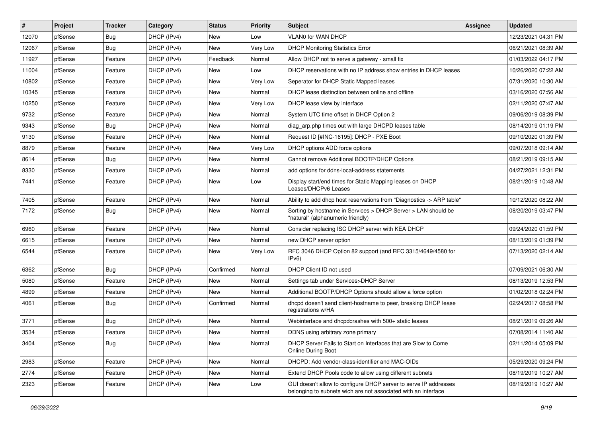| $\vert$ # | Project | <b>Tracker</b> | Category    | <b>Status</b> | <b>Priority</b> | Subject                                                                                                                            | <b>Assignee</b> | <b>Updated</b>      |
|-----------|---------|----------------|-------------|---------------|-----------------|------------------------------------------------------------------------------------------------------------------------------------|-----------------|---------------------|
| 12070     | pfSense | <b>Bug</b>     | DHCP (IPv4) | New           | Low             | VLAN0 for WAN DHCP                                                                                                                 |                 | 12/23/2021 04:31 PM |
| 12067     | pfSense | Bug            | DHCP (IPv4) | New           | Very Low        | <b>DHCP Monitoring Statistics Error</b>                                                                                            |                 | 06/21/2021 08:39 AM |
| 11927     | pfSense | Feature        | DHCP (IPv4) | Feedback      | Normal          | Allow DHCP not to serve a gateway - small fix                                                                                      |                 | 01/03/2022 04:17 PM |
| 11004     | pfSense | Feature        | DHCP (IPv4) | New           | Low             | DHCP reservations with no IP address show entries in DHCP leases                                                                   |                 | 10/26/2020 07:22 AM |
| 10802     | pfSense | Feature        | DHCP (IPv4) | New           | Very Low        | Seperator for DHCP Static Mapped leases                                                                                            |                 | 07/31/2020 10:30 AM |
| 10345     | pfSense | Feature        | DHCP (IPv4) | New           | Normal          | DHCP lease distinction between online and offline                                                                                  |                 | 03/16/2020 07:56 AM |
| 10250     | pfSense | Feature        | DHCP (IPv4) | New           | Very Low        | DHCP lease view by interface                                                                                                       |                 | 02/11/2020 07:47 AM |
| 9732      | pfSense | Feature        | DHCP (IPv4) | New           | Normal          | System UTC time offset in DHCP Option 2                                                                                            |                 | 09/06/2019 08:39 PM |
| 9343      | pfSense | Bug            | DHCP (IPv4) | New           | Normal          | diag_arp.php times out with large DHCPD leases table                                                                               |                 | 08/14/2019 01:19 PM |
| 9130      | pfSense | Feature        | DHCP (IPv4) | New           | Normal          | Request ID [#INC-16195]: DHCP - PXE Boot                                                                                           |                 | 09/10/2020 01:39 PM |
| 8879      | pfSense | Feature        | DHCP (IPv4) | New           | Very Low        | DHCP options ADD force options                                                                                                     |                 | 09/07/2018 09:14 AM |
| 8614      | pfSense | Bug            | DHCP (IPv4) | New           | Normal          | Cannot remove Additional BOOTP/DHCP Options                                                                                        |                 | 08/21/2019 09:15 AM |
| 8330      | pfSense | Feature        | DHCP (IPv4) | New           | Normal          | add options for ddns-local-address statements                                                                                      |                 | 04/27/2021 12:31 PM |
| 7441      | pfSense | Feature        | DHCP (IPv4) | New           | Low             | Display start/end times for Static Mapping leases on DHCP<br>Leases/DHCPv6 Leases                                                  |                 | 08/21/2019 10:48 AM |
| 7405      | pfSense | Feature        | DHCP (IPv4) | New           | Normal          | Ability to add dhcp host reservations from "Diagnostics -> ARP table"                                                              |                 | 10/12/2020 08:22 AM |
| 7172      | pfSense | <b>Bug</b>     | DHCP (IPv4) | New           | Normal          | Sorting by hostname in Services > DHCP Server > LAN should be<br>"natural" (alphanumeric friendly)                                 |                 | 08/20/2019 03:47 PM |
| 6960      | pfSense | Feature        | DHCP (IPv4) | New           | Normal          | Consider replacing ISC DHCP server with KEA DHCP                                                                                   |                 | 09/24/2020 01:59 PM |
| 6615      | pfSense | Feature        | DHCP (IPv4) | New           | Normal          | new DHCP server option                                                                                                             |                 | 08/13/2019 01:39 PM |
| 6544      | pfSense | Feature        | DHCP (IPv4) | New           | Very Low        | RFC 3046 DHCP Option 82 support (and RFC 3315/4649/4580 for<br>IPv6                                                                |                 | 07/13/2020 02:14 AM |
| 6362      | pfSense | <b>Bug</b>     | DHCP (IPv4) | Confirmed     | Normal          | DHCP Client ID not used                                                                                                            |                 | 07/09/2021 06:30 AM |
| 5080      | pfSense | Feature        | DHCP (IPv4) | New           | Normal          | Settings tab under Services>DHCP Server                                                                                            |                 | 08/13/2019 12:53 PM |
| 4899      | pfSense | Feature        | DHCP (IPv4) | New           | Normal          | Additional BOOTP/DHCP Options should allow a force option                                                                          |                 | 01/02/2018 02:24 PM |
| 4061      | pfSense | Bug            | DHCP (IPv4) | Confirmed     | Normal          | dhcpd doesn't send client-hostname to peer, breaking DHCP lease<br>registrations w/HA                                              |                 | 02/24/2017 08:58 PM |
| 3771      | pfSense | Bug            | DHCP (IPv4) | New           | Normal          | Webinterface and dhcpdcrashes with 500+ static leases                                                                              |                 | 08/21/2019 09:26 AM |
| 3534      | pfSense | Feature        | DHCP (IPv4) | New           | Normal          | DDNS using arbitrary zone primary                                                                                                  |                 | 07/08/2014 11:40 AM |
| 3404      | pfSense | Bug            | DHCP (IPv4) | New           | Normal          | DHCP Server Fails to Start on Interfaces that are Slow to Come<br><b>Online During Boot</b>                                        |                 | 02/11/2014 05:09 PM |
| 2983      | pfSense | Feature        | DHCP (IPv4) | New           | Normal          | DHCPD: Add vendor-class-identifier and MAC-OIDs                                                                                    |                 | 05/29/2020 09:24 PM |
| 2774      | pfSense | Feature        | DHCP (IPv4) | New           | Normal          | Extend DHCP Pools code to allow using different subnets                                                                            |                 | 08/19/2019 10:27 AM |
| 2323      | pfSense | Feature        | DHCP (IPv4) | New           | Low             | GUI doesn't allow to configure DHCP server to serve IP addresses<br>belonging to subnets wich are not associated with an interface |                 | 08/19/2019 10:27 AM |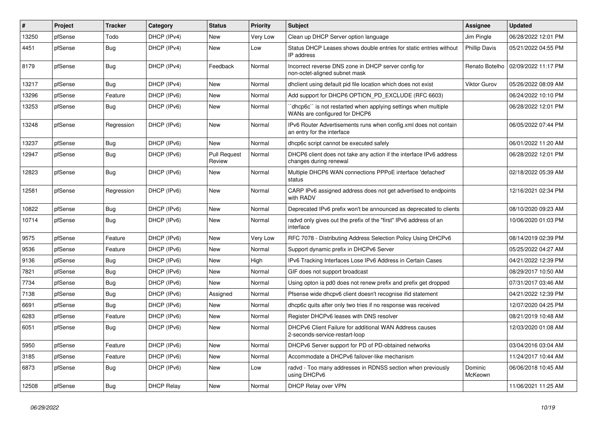| $\vert$ # | Project | <b>Tracker</b> | Category          | <b>Status</b>                 | <b>Priority</b> | Subject                                                                                         | <b>Assignee</b>      | <b>Updated</b>      |
|-----------|---------|----------------|-------------------|-------------------------------|-----------------|-------------------------------------------------------------------------------------------------|----------------------|---------------------|
| 13250     | pfSense | Todo           | DHCP (IPv4)       | New                           | Very Low        | Clean up DHCP Server option language                                                            | Jim Pingle           | 06/28/2022 12:01 PM |
| 4451      | pfSense | <b>Bug</b>     | DHCP (IPv4)       | New                           | Low             | Status DHCP Leases shows double entries for static entries without<br>IP address                | <b>Phillip Davis</b> | 05/21/2022 04:55 PM |
| 8179      | pfSense | Bug            | DHCP (IPv4)       | Feedback                      | Normal          | Incorrect reverse DNS zone in DHCP server config for<br>non-octet-aligned subnet mask           | Renato Botelho       | 02/09/2022 11:17 PM |
| 13217     | pfSense | Bug            | DHCP (IPv4)       | New                           | Normal          | dhclient using default pid file location which does not exist                                   | Viktor Gurov         | 05/26/2022 08:09 AM |
| 13296     | pfSense | Feature        | DHCP (IPv6)       | New                           | Normal          | Add support for DHCP6 OPTION_PD_EXCLUDE (RFC 6603)                                              |                      | 06/24/2022 10:10 PM |
| 13253     | pfSense | <b>Bug</b>     | DHCP (IPv6)       | <b>New</b>                    | Normal          | 'dhcp6c' is not restarted when applying settings when multiple<br>WANs are configured for DHCP6 |                      | 06/28/2022 12:01 PM |
| 13248     | pfSense | Regression     | DHCP (IPv6)       | <b>New</b>                    | Normal          | IPv6 Router Advertisements runs when config.xml does not contain<br>an entry for the interface  |                      | 06/05/2022 07:44 PM |
| 13237     | pfSense | <b>Bug</b>     | DHCP (IPv6)       | <b>New</b>                    | Normal          | dhcp6c script cannot be executed safely                                                         |                      | 06/01/2022 11:20 AM |
| 12947     | pfSense | Bug            | DHCP (IPv6)       | <b>Pull Request</b><br>Review | Normal          | DHCP6 client does not take any action if the interface IPv6 address<br>changes during renewal   |                      | 06/28/2022 12:01 PM |
| 12823     | pfSense | Bug            | DHCP (IPv6)       | New                           | Normal          | Multiple DHCP6 WAN connections PPPoE interface 'defached'<br>status                             |                      | 02/18/2022 05:39 AM |
| 12581     | pfSense | Regression     | DHCP (IPv6)       | <b>New</b>                    | Normal          | CARP IPv6 assigned address does not get advertised to endpoints<br>with RADV                    |                      | 12/16/2021 02:34 PM |
| 10822     | pfSense | <b>Bug</b>     | DHCP (IPv6)       | <b>New</b>                    | Normal          | Deprecated IPv6 prefix won't be announced as deprecated to clients                              |                      | 08/10/2020 09:23 AM |
| 10714     | pfSense | <b>Bug</b>     | DHCP (IPv6)       | New                           | Normal          | radvd only gives out the prefix of the "first" IPv6 address of an<br>interface                  |                      | 10/06/2020 01:03 PM |
| 9575      | pfSense | Feature        | DHCP (IPv6)       | New                           | Very Low        | RFC 7078 - Distributing Address Selection Policy Using DHCPv6                                   |                      | 08/14/2019 02:39 PM |
| 9536      | pfSense | Feature        | DHCP (IPv6)       | New                           | Normal          | Support dynamic prefix in DHCPv6 Server                                                         |                      | 05/25/2022 04:27 AM |
| 9136      | pfSense | Bug            | DHCP (IPv6)       | New                           | High            | IPv6 Tracking Interfaces Lose IPv6 Address in Certain Cases                                     |                      | 04/21/2022 12:39 PM |
| 7821      | pfSense | <b>Bug</b>     | DHCP (IPv6)       | New                           | Normal          | GIF does not support broadcast                                                                  |                      | 08/29/2017 10:50 AM |
| 7734      | pfSense | <b>Bug</b>     | DHCP (IPv6)       | New                           | Normal          | Using opton ia pd0 does not renew prefix and prefix get dropped                                 |                      | 07/31/2017 03:46 AM |
| 7138      | pfSense | <b>Bug</b>     | DHCP (IPv6)       | Assigned                      | Normal          | Pfsense wide dhcpv6 client doesn't recognise ifid statement                                     |                      | 04/21/2022 12:39 PM |
| 6691      | pfSense | Bug            | DHCP (IPv6)       | New                           | Normal          | dhcp6c quits after only two tries if no response was received                                   |                      | 12/07/2020 04:25 PM |
| 6283      | pfSense | Feature        | DHCP (IPv6)       | New                           | Normal          | Register DHCPv6 leases with DNS resolver                                                        |                      | 08/21/2019 10:48 AM |
| 6051      | pfSense | Bug            | DHCP (IPv6)       | New                           | Normal          | DHCPv6 Client Failure for additional WAN Address causes<br>2-seconds-service-restart-loop       |                      | 12/03/2020 01:08 AM |
| 5950      | pfSense | Feature        | DHCP (IPv6)       | <b>New</b>                    | Normal          | DHCPv6 Server support for PD of PD-obtained networks                                            |                      | 03/04/2016 03:04 AM |
| 3185      | pfSense | Feature        | DHCP (IPv6)       | New                           | Normal          | Accommodate a DHCPv6 failover-like mechanism                                                    |                      | 11/24/2017 10:44 AM |
| 6873      | pfSense | <b>Bug</b>     | DHCP (IPv6)       | New                           | Low             | radvd - Too many addresses in RDNSS section when previously<br>using DHCPv6                     | Dominic<br>McKeown   | 06/06/2018 10:45 AM |
| 12508     | pfSense | Bug            | <b>DHCP Relay</b> | New                           | Normal          | DHCP Relay over VPN                                                                             |                      | 11/06/2021 11:25 AM |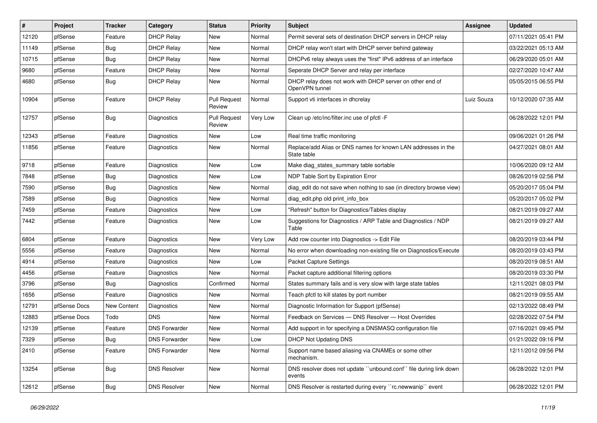| $\#$  | Project      | <b>Tracker</b>     | Category             | <b>Status</b>                 | <b>Priority</b> | <b>Subject</b>                                                               | Assignee   | <b>Updated</b>      |
|-------|--------------|--------------------|----------------------|-------------------------------|-----------------|------------------------------------------------------------------------------|------------|---------------------|
| 12120 | pfSense      | Feature            | <b>DHCP Relay</b>    | New                           | Normal          | Permit several sets of destination DHCP servers in DHCP relay                |            | 07/11/2021 05:41 PM |
| 11149 | pfSense      | <b>Bug</b>         | <b>DHCP Relay</b>    | <b>New</b>                    | Normal          | DHCP relay won't start with DHCP server behind gateway                       |            | 03/22/2021 05:13 AM |
| 10715 | pfSense      | <b>Bug</b>         | <b>DHCP Relay</b>    | New                           | Normal          | DHCPv6 relay always uses the "first" IPv6 address of an interface            |            | 06/29/2020 05:01 AM |
| 9680  | pfSense      | Feature            | <b>DHCP Relay</b>    | New                           | Normal          | Seperate DHCP Server and relay per interface                                 |            | 02/27/2020 10:47 AM |
| 4680  | pfSense      | Bug                | <b>DHCP Relay</b>    | <b>New</b>                    | Normal          | DHCP relay does not work with DHCP server on other end of<br>OpenVPN tunnel  |            | 05/05/2015 06:55 PM |
| 10904 | pfSense      | Feature            | <b>DHCP Relay</b>    | <b>Pull Request</b><br>Review | Normal          | Support vti interfaces in dhcrelay                                           | Luiz Souza | 10/12/2020 07:35 AM |
| 12757 | pfSense      | <b>Bug</b>         | Diagnostics          | <b>Pull Request</b><br>Review | Very Low        | Clean up /etc/inc/filter.inc use of pfctl -F                                 |            | 06/28/2022 12:01 PM |
| 12343 | pfSense      | Feature            | Diagnostics          | New                           | Low             | Real time traffic monitoring                                                 |            | 09/06/2021 01:26 PM |
| 11856 | pfSense      | Feature            | Diagnostics          | New                           | Normal          | Replace/add Alias or DNS names for known LAN addresses in the<br>State table |            | 04/27/2021 08:01 AM |
| 9718  | pfSense      | Feature            | Diagnostics          | New                           | Low             | Make diag_states_summary table sortable                                      |            | 10/06/2020 09:12 AM |
| 7848  | pfSense      | Bug                | Diagnostics          | New                           | Low             | NDP Table Sort by Expiration Error                                           |            | 08/26/2019 02:56 PM |
| 7590  | pfSense      | Bug                | Diagnostics          | New                           | Normal          | diag_edit do not save when nothing to sae (in directory browse view)         |            | 05/20/2017 05:04 PM |
| 7589  | pfSense      | <b>Bug</b>         | Diagnostics          | New                           | Normal          | diag_edit.php old print_info_box                                             |            | 05/20/2017 05:02 PM |
| 7459  | pfSense      | Feature            | Diagnostics          | New                           | Low             | "Refresh" button for Diagnostics/Tables display                              |            | 08/21/2019 09:27 AM |
| 7442  | pfSense      | Feature            | Diagnostics          | New                           | Low             | Suggestions for Diagnostics / ARP Table and Diagnostics / NDP<br>Table       |            | 08/21/2019 09:27 AM |
| 6804  | pfSense      | Feature            | Diagnostics          | <b>New</b>                    | <b>Very Low</b> | Add row counter into Diagnostics -> Edit File                                |            | 08/20/2019 03:44 PM |
| 5556  | pfSense      | Feature            | Diagnostics          | New                           | Normal          | No error when downloading non-existing file on Diagnostics/Execute           |            | 08/20/2019 03:43 PM |
| 4914  | pfSense      | Feature            | Diagnostics          | New                           | Low             | Packet Capture Settings                                                      |            | 08/20/2019 08:51 AM |
| 4456  | pfSense      | Feature            | Diagnostics          | <b>New</b>                    | Normal          | Packet capture additional filtering options                                  |            | 08/20/2019 03:30 PM |
| 3796  | pfSense      | <b>Bug</b>         | Diagnostics          | Confirmed                     | Normal          | States summary fails and is very slow with large state tables                |            | 12/11/2021 08:03 PM |
| 1656  | pfSense      | Feature            | <b>Diagnostics</b>   | New                           | Normal          | Teach pfctl to kill states by port number                                    |            | 08/21/2019 09:55 AM |
| 12791 | pfSense Docs | <b>New Content</b> | <b>Diagnostics</b>   | New                           | Normal          | Diagnostic Information for Support (pfSense)                                 |            | 02/13/2022 08:49 PM |
| 12883 | pfSense Docs | Todo               | <b>DNS</b>           | New                           | Normal          | Feedback on Services - DNS Resolver - Host Overrides                         |            | 02/28/2022 07:54 PM |
| 12139 | pfSense      | Feature            | <b>DNS Forwarder</b> | New                           | Normal          | Add support in for specifying a DNSMASQ configuration file                   |            | 07/16/2021 09:45 PM |
| 7329  | pfSense      | Bug                | <b>DNS Forwarder</b> | New                           | Low             | DHCP Not Updating DNS                                                        |            | 01/21/2022 09:16 PM |
| 2410  | pfSense      | Feature            | <b>DNS Forwarder</b> | New                           | Normal          | Support name based aliasing via CNAMEs or some other<br>mechanism.           |            | 12/11/2012 09:56 PM |
| 13254 | pfSense      | <b>Bug</b>         | <b>DNS Resolver</b>  | New                           | Normal          | DNS resolver does not update "unbound.conf" file during link down<br>events  |            | 06/28/2022 12:01 PM |
| 12612 | pfSense      | <b>Bug</b>         | <b>DNS Resolver</b>  | New                           | Normal          | DNS Resolver is restarted during every "rc.newwanip" event                   |            | 06/28/2022 12:01 PM |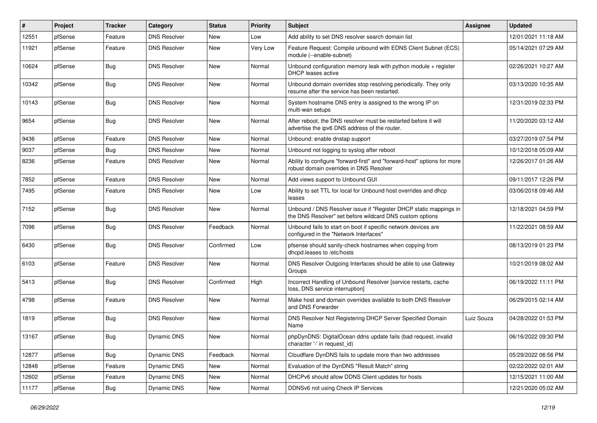| #     | Project | <b>Tracker</b>   | Category            | <b>Status</b> | <b>Priority</b> | Subject                                                                                                                       | <b>Assignee</b> | <b>Updated</b>      |
|-------|---------|------------------|---------------------|---------------|-----------------|-------------------------------------------------------------------------------------------------------------------------------|-----------------|---------------------|
| 12551 | pfSense | Feature          | <b>DNS Resolver</b> | New           | Low             | Add ability to set DNS resolver search domain list                                                                            |                 | 12/01/2021 11:18 AM |
| 11921 | pfSense | Feature          | <b>DNS Resolver</b> | New           | Very Low        | Feature Request: Compile unbound with EDNS Client Subnet (ECS)<br>module (--enable-subnet)                                    |                 | 05/14/2021 07:29 AM |
| 10624 | pfSense | Bug              | <b>DNS Resolver</b> | New           | Normal          | Unbound configuration memory leak with python module + register<br>DHCP leases active                                         |                 | 02/26/2021 10:27 AM |
| 10342 | pfSense | Bug              | <b>DNS Resolver</b> | New           | Normal          | Unbound domain overrides stop resolving periodically. They only<br>resume after the service has been restarted.               |                 | 03/13/2020 10:35 AM |
| 10143 | pfSense | <b>Bug</b>       | <b>DNS Resolver</b> | New           | Normal          | System hostname DNS entry is assigned to the wrong IP on<br>multi-wan setups                                                  |                 | 12/31/2019 02:33 PM |
| 9654  | pfSense | Bug              | <b>DNS Resolver</b> | New           | Normal          | After reboot, the DNS resolver must be restarted before it will<br>advertise the ipv6 DNS address of the router.              |                 | 11/20/2020 03:12 AM |
| 9436  | pfSense | Feature          | <b>DNS Resolver</b> | New           | Normal          | Unbound: enable dnstap support                                                                                                |                 | 03/27/2019 07:54 PM |
| 9037  | pfSense | Bug              | <b>DNS Resolver</b> | <b>New</b>    | Normal          | Unbound not logging to syslog after reboot                                                                                    |                 | 10/12/2018 05:09 AM |
| 8236  | pfSense | Feature          | <b>DNS Resolver</b> | New           | Normal          | Ability to configure "forward-first" and "forward-host" options for more<br>robust domain overrides in DNS Resolver           |                 | 12/26/2017 01:26 AM |
| 7852  | pfSense | Feature          | <b>DNS Resolver</b> | New           | Normal          | Add views support to Unbound GUI                                                                                              |                 | 09/11/2017 12:26 PM |
| 7495  | pfSense | Feature          | <b>DNS Resolver</b> | New           | Low             | Ability to set TTL for local for Unbound host overrides and dhcp<br>leases                                                    |                 | 03/06/2018 09:46 AM |
| 7152  | pfSense | Bug              | <b>DNS Resolver</b> | <b>New</b>    | Normal          | Unbound / DNS Resolver issue if "Register DHCP static mappings in<br>the DNS Resolver" set before wildcard DNS custom options |                 | 12/18/2021 04:59 PM |
| 7096  | pfSense | <b>Bug</b>       | <b>DNS Resolver</b> | Feedback      | Normal          | Unbound fails to start on boot if specific network devices are<br>configured in the "Network Interfaces"                      |                 | 11/22/2021 08:59 AM |
| 6430  | pfSense | Bug              | <b>DNS Resolver</b> | Confirmed     | Low             | pfsense should sanity-check hostnames when copying from<br>dhcpd.leases to /etc/hosts                                         |                 | 08/13/2019 01:23 PM |
| 6103  | pfSense | Feature          | <b>DNS Resolver</b> | New           | Normal          | DNS Resolver Outgoing Interfaces should be able to use Gateway<br>Groups                                                      |                 | 10/21/2019 08:02 AM |
| 5413  | pfSense | Bug              | <b>DNS Resolver</b> | Confirmed     | High            | Incorrect Handling of Unbound Resolver [service restarts, cache<br>loss, DNS service interruption]                            |                 | 06/19/2022 11:11 PM |
| 4798  | pfSense | Feature          | <b>DNS Resolver</b> | New           | Normal          | Make host and domain overrides available to both DNS Resolver<br>and DNS Forwarder                                            |                 | 06/29/2015 02:14 AM |
| 1819  | pfSense | Bug              | <b>DNS Resolver</b> | New           | Normal          | DNS Resolver Not Registering DHCP Server Specified Domain<br>Name                                                             | Luiz Souza      | 04/28/2022 01:53 PM |
| 13167 | pfSense | <sub>I</sub> Bug | Dynamic DNS         | New           | Normal          | phpDynDNS: DigitalOcean ddns update fails (bad request, invalid<br>character '-' in request_id)                               |                 | 06/16/2022 09:30 PM |
| 12877 | pfSense | <b>Bug</b>       | Dynamic DNS         | Feedback      | Normal          | Cloudflare DynDNS fails to update more than two addresses                                                                     |                 | 05/29/2022 06:56 PM |
| 12848 | pfSense | Feature          | <b>Dynamic DNS</b>  | New           | Normal          | Evaluation of the DynDNS "Result Match" string                                                                                |                 | 02/22/2022 02:01 AM |
| 12602 | pfSense | Feature          | Dynamic DNS         | New           | Normal          | DHCPv6 should allow DDNS Client updates for hosts                                                                             |                 | 12/15/2021 11:00 AM |
| 11177 | pfSense | Bug              | Dynamic DNS         | New           | Normal          | DDNSv6 not using Check IP Services                                                                                            |                 | 12/21/2020 05:02 AM |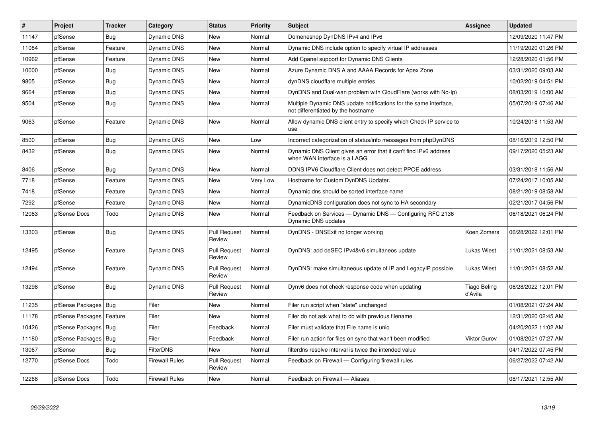| #     | Project                    | <b>Tracker</b> | Category              | <b>Status</b>                 | <b>Priority</b> | <b>Subject</b>                                                                                          | Assignee                       | <b>Updated</b>      |
|-------|----------------------------|----------------|-----------------------|-------------------------------|-----------------|---------------------------------------------------------------------------------------------------------|--------------------------------|---------------------|
| 11147 | pfSense                    | Bug            | Dynamic DNS           | <b>New</b>                    | Normal          | Domeneshop DynDNS IPv4 and IPv6                                                                         |                                | 12/09/2020 11:47 PM |
| 11084 | pfSense                    | Feature        | Dynamic DNS           | New                           | Normal          | Dynamic DNS include option to specify virtual IP addresses                                              |                                | 11/19/2020 01:26 PM |
| 10962 | pfSense                    | Feature        | Dynamic DNS           | New                           | Normal          | Add Cpanel support for Dynamic DNS Clients                                                              |                                | 12/28/2020 01:56 PM |
| 10000 | pfSense                    | <b>Bug</b>     | Dynamic DNS           | <b>New</b>                    | Normal          | Azure Dynamic DNS A and AAAA Records for Apex Zone                                                      |                                | 03/31/2020 09:03 AM |
| 9805  | pfSense                    | Bug            | Dynamic DNS           | New                           | Normal          | dynDNS cloudflare multiple entries                                                                      |                                | 10/02/2019 04:51 PM |
| 9664  | pfSense                    | Bug            | <b>Dynamic DNS</b>    | <b>New</b>                    | Normal          | DynDNS and Dual-wan problem with CloudFlare (works with No-Ip)                                          |                                | 08/03/2019 10:00 AM |
| 9504  | pfSense                    | <b>Bug</b>     | Dynamic DNS           | <b>New</b>                    | Normal          | Multiple Dynamic DNS update notifications for the same interface,<br>not differentiated by the hostname |                                | 05/07/2019 07:46 AM |
| 9063  | pfSense                    | Feature        | <b>Dynamic DNS</b>    | <b>New</b>                    | Normal          | Allow dynamic DNS client entry to specify which Check IP service to<br>use                              |                                | 10/24/2018 11:53 AM |
| 8500  | pfSense                    | Bug            | <b>Dynamic DNS</b>    | <b>New</b>                    | Low             | Incorrect categorization of status/info messages from phpDynDNS                                         |                                | 08/16/2019 12:50 PM |
| 8432  | pfSense                    | Bug            | <b>Dynamic DNS</b>    | <b>New</b>                    | Normal          | Dynamic DNS Client gives an error that it can't find IPv6 address<br>when WAN interface is a LAGG       |                                | 09/17/2020 05:23 AM |
| 8406  | pfSense                    | <b>Bug</b>     | <b>Dynamic DNS</b>    | <b>New</b>                    | Normal          | DDNS IPV6 Cloudflare Client does not detect PPOE address                                                |                                | 03/31/2018 11:56 AM |
| 7718  | pfSense                    | Feature        | Dynamic DNS           | <b>New</b>                    | Very Low        | Hostname for Custom DynDNS Updater.                                                                     |                                | 07/24/2017 10:05 AM |
| 7418  | pfSense                    | Feature        | <b>Dynamic DNS</b>    | <b>New</b>                    | Normal          | Dynamic dns should be sorted interface name                                                             |                                | 08/21/2019 08:58 AM |
| 7292  | pfSense                    | Feature        | <b>Dynamic DNS</b>    | <b>New</b>                    | Normal          | DynamicDNS configuration does not sync to HA secondary                                                  |                                | 02/21/2017 04:56 PM |
| 12063 | pfSense Docs               | Todo           | Dynamic DNS           | <b>New</b>                    | Normal          | Feedback on Services - Dynamic DNS - Configuring RFC 2136<br>Dynamic DNS updates                        |                                | 06/18/2021 06:24 PM |
| 13303 | pfSense                    | Bug            | <b>Dynamic DNS</b>    | <b>Pull Request</b><br>Review | Normal          | DynDNS - DNSExit no longer working                                                                      | Koen Zomers                    | 06/28/2022 12:01 PM |
| 12495 | pfSense                    | Feature        | Dynamic DNS           | <b>Pull Request</b><br>Review | Normal          | DynDNS: add deSEC IPv4&v6 simultaneos update                                                            | <b>Lukas Wiest</b>             | 11/01/2021 08:53 AM |
| 12494 | pfSense                    | Feature        | <b>Dynamic DNS</b>    | <b>Pull Request</b><br>Review | Normal          | DynDNS: make simultaneous update of IP and LegacyIP possible                                            | Lukas Wiest                    | 11/01/2021 08:52 AM |
| 13298 | pfSense                    | <b>Bug</b>     | <b>Dynamic DNS</b>    | <b>Pull Request</b><br>Review | Normal          | Dynv6 does not check response code when updating                                                        | <b>Tiago Beling</b><br>d'Avila | 06/28/2022 12:01 PM |
| 11235 | pfSense Packages           | Bug            | Filer                 | <b>New</b>                    | Normal          | Filer run script when "state" unchanged                                                                 |                                | 01/08/2021 07:24 AM |
| 11178 | pfSense Packages   Feature |                | Filer                 | <b>New</b>                    | Normal          | Filer do not ask what to do with previous filename                                                      |                                | 12/31/2020 02:45 AM |
| 10426 | pfSense Packages   Bug     |                | Filer                 | Feedback                      | Normal          | Filer must validate that File name is unig                                                              |                                | 04/20/2022 11:02 AM |
| 11180 | pfSense Packages           | <b>Bug</b>     | Filer                 | Feedback                      | Normal          | Filer run action for files on sync that wan't been modified                                             | <b>Viktor Gurov</b>            | 01/08/2021 07:27 AM |
| 13067 | pfSense                    | <b>Bug</b>     | <b>FilterDNS</b>      | New                           | Normal          | filterdns resolve interval is twice the intended value                                                  |                                | 04/17/2022 07:45 PM |
| 12770 | pfSense Docs               | Todo           | Firewall Rules        | Pull Request<br>Review        | Normal          | Feedback on Firewall — Configuring firewall rules                                                       |                                | 06/27/2022 07:42 AM |
| 12268 | pfSense Docs               | Todo           | <b>Firewall Rules</b> | New                           | Normal          | Feedback on Firewall - Aliases                                                                          |                                | 08/17/2021 12:55 AM |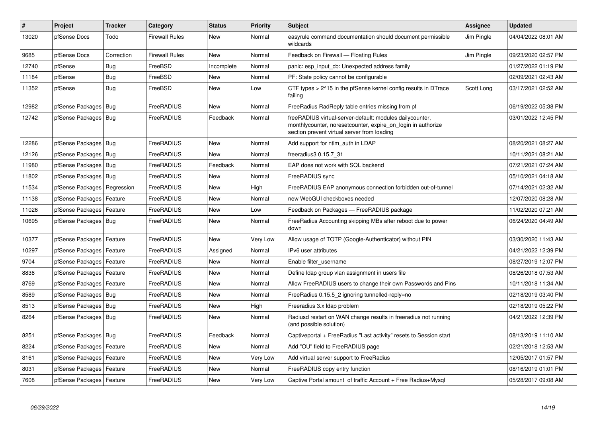| $\vert$ # | Project                    | <b>Tracker</b> | Category              | <b>Status</b> | <b>Priority</b> | <b>Subject</b>                                                                                                                                                           | <b>Assignee</b> | <b>Updated</b>      |
|-----------|----------------------------|----------------|-----------------------|---------------|-----------------|--------------------------------------------------------------------------------------------------------------------------------------------------------------------------|-----------------|---------------------|
| 13020     | pfSense Docs               | Todo           | <b>Firewall Rules</b> | <b>New</b>    | Normal          | easyrule command documentation should document permissible<br>wildcards                                                                                                  | Jim Pingle      | 04/04/2022 08:01 AM |
| 9685      | pfSense Docs               | Correction     | <b>Firewall Rules</b> | New           | Normal          | Feedback on Firewall - Floating Rules                                                                                                                                    | Jim Pingle      | 09/23/2020 02:57 PM |
| 12740     | pfSense                    | <b>Bug</b>     | FreeBSD               | Incomplete    | Normal          | panic: esp input cb: Unexpected address family                                                                                                                           |                 | 01/27/2022 01:19 PM |
| 11184     | pfSense                    | <b>Bug</b>     | FreeBSD               | New           | Normal          | PF: State policy cannot be configurable                                                                                                                                  |                 | 02/09/2021 02:43 AM |
| 11352     | pfSense                    | <b>Bug</b>     | FreeBSD               | <b>New</b>    | Low             | CTF types $> 215$ in the pfSense kernel config results in DTrace<br>failing                                                                                              | Scott Long      | 03/17/2021 02:52 AM |
| 12982     | pfSense Packages   Bug     |                | FreeRADIUS            | <b>New</b>    | Normal          | FreeRadius RadReply table entries missing from pf                                                                                                                        |                 | 06/19/2022 05:38 PM |
| 12742     | pfSense Packages   Bug     |                | FreeRADIUS            | Feedback      | Normal          | freeRADIUS virtual-server-default: modules dailycounter,<br>monthlycounter, noreset counter, expire on login in authorize<br>section prevent virtual server from loading |                 | 03/01/2022 12:45 PM |
| 12286     | pfSense Packages   Bug     |                | FreeRADIUS            | New           | Normal          | Add support for ntlm auth in LDAP                                                                                                                                        |                 | 08/20/2021 08:27 AM |
| 12126     | pfSense Packages   Bug     |                | FreeRADIUS            | <b>New</b>    | Normal          | freeradius3 0.15.7 31                                                                                                                                                    |                 | 10/11/2021 08:21 AM |
| 11980     | pfSense Packages   Bug     |                | FreeRADIUS            | Feedback      | Normal          | EAP does not work with SQL backend                                                                                                                                       |                 | 07/21/2021 07:24 AM |
| 11802     | pfSense Packages   Bug     |                | FreeRADIUS            | New           | Normal          | FreeRADIUS sync                                                                                                                                                          |                 | 05/10/2021 04:18 AM |
| 11534     | pfSense Packages           | Regression     | FreeRADIUS            | <b>New</b>    | High            | FreeRADIUS EAP anonymous connection forbidden out-of-tunnel                                                                                                              |                 | 07/14/2021 02:32 AM |
| 11138     | pfSense Packages   Feature |                | FreeRADIUS            | New           | Normal          | new WebGUI checkboxes needed                                                                                                                                             |                 | 12/07/2020 08:28 AM |
| 11026     | pfSense Packages   Feature |                | FreeRADIUS            | New           | Low             | Feedback on Packages - FreeRADIUS package                                                                                                                                |                 | 11/02/2020 07:21 AM |
| 10695     | pfSense Packages   Bug     |                | FreeRADIUS            | New           | Normal          | FreeRadius Accounting skipping MBs after reboot due to power<br>down                                                                                                     |                 | 06/24/2020 04:49 AM |
| 10377     | pfSense Packages   Feature |                | FreeRADIUS            | <b>New</b>    | Very Low        | Allow usage of TOTP (Google-Authenticator) without PIN                                                                                                                   |                 | 03/30/2020 11:43 AM |
| 10297     | pfSense Packages   Feature |                | FreeRADIUS            | Assigned      | Normal          | IPv6 user attributes                                                                                                                                                     |                 | 04/21/2022 12:39 PM |
| 9704      | pfSense Packages           | Feature        | FreeRADIUS            | New           | Normal          | Enable filter username                                                                                                                                                   |                 | 08/27/2019 12:07 PM |
| 8836      | pfSense Packages   Feature |                | FreeRADIUS            | <b>New</b>    | Normal          | Define Idap group vlan assignment in users file                                                                                                                          |                 | 08/26/2018 07:53 AM |
| 8769      | pfSense Packages           | Feature        | FreeRADIUS            | <b>New</b>    | Normal          | Allow FreeRADIUS users to change their own Passwords and Pins                                                                                                            |                 | 10/11/2018 11:34 AM |
| 8589      | pfSense Packages   Bug     |                | FreeRADIUS            | New           | Normal          | FreeRadius 0.15.5 2 ignoring tunnelled-reply=no                                                                                                                          |                 | 02/18/2019 03:40 PM |
| 8513      | pfSense Packages   Bug     |                | FreeRADIUS            | <b>New</b>    | High            | Freeradius 3.x Idap problem                                                                                                                                              |                 | 02/18/2019 05:22 PM |
| 8264      | pfSense Packages   Bug     |                | FreeRADIUS            | New           | Normal          | Radiusd restart on WAN change results in freeradius not running<br>(and possible solution)                                                                               |                 | 04/21/2022 12:39 PM |
| 8251      | pfSense Packages   Bug     |                | FreeRADIUS            | Feedback      | Normal          | Captiveportal + FreeRadius "Last activity" resets to Session start                                                                                                       |                 | 08/13/2019 11:10 AM |
| 8224      | pfSense Packages   Feature |                | FreeRADIUS            | New           | Normal          | Add "OU" field to FreeRADIUS page                                                                                                                                        |                 | 02/21/2018 12:53 AM |
| 8161      | pfSense Packages   Feature |                | FreeRADIUS            | New           | Very Low        | Add virtual server support to FreeRadius                                                                                                                                 |                 | 12/05/2017 01:57 PM |
| 8031      | pfSense Packages           | Feature        | FreeRADIUS            | <b>New</b>    | Normal          | FreeRADIUS copy entry function                                                                                                                                           |                 | 08/16/2019 01:01 PM |
| 7608      | pfSense Packages   Feature |                | FreeRADIUS            | New           | Very Low        | Captive Portal amount of traffic Account + Free Radius+Mysql                                                                                                             |                 | 05/28/2017 09:08 AM |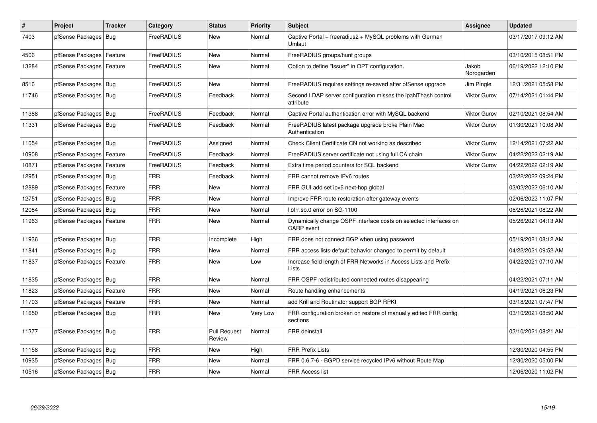| $\vert$ # | Project                    | <b>Tracker</b> | Category   | <b>Status</b>                 | <b>Priority</b> | <b>Subject</b>                                                                         | <b>Assignee</b>     | <b>Updated</b>      |
|-----------|----------------------------|----------------|------------|-------------------------------|-----------------|----------------------------------------------------------------------------------------|---------------------|---------------------|
| 7403      | pfSense Packages           | Bug            | FreeRADIUS | New                           | Normal          | Captive Portal + freeradius2 + MySQL problems with German<br>Umlaut                    |                     | 03/17/2017 09:12 AM |
| 4506      | pfSense Packages   Feature |                | FreeRADIUS | New                           | Normal          | FreeRADIUS groups/hunt groups                                                          |                     | 03/10/2015 08:51 PM |
| 13284     | pfSense Packages   Feature |                | FreeRADIUS | New                           | Normal          | Option to define "Issuer" in OPT configuration.                                        | Jakob<br>Nordgarden | 06/19/2022 12:10 PM |
| 8516      | pfSense Packages   Bug     |                | FreeRADIUS | <b>New</b>                    | Normal          | FreeRADIUS requires settings re-saved after pfSense upgrade                            | Jim Pingle          | 12/31/2021 05:58 PM |
| 11746     | pfSense Packages   Bug     |                | FreeRADIUS | Feedback                      | Normal          | Second LDAP server configuration misses the ipaNThash control<br>attribute             | <b>Viktor Gurov</b> | 07/14/2021 01:44 PM |
| 11388     | pfSense Packages   Bug     |                | FreeRADIUS | Feedback                      | Normal          | Captive Portal authentication error with MySQL backend                                 | <b>Viktor Gurov</b> | 02/10/2021 08:54 AM |
| 11331     | pfSense Packages   Bug     |                | FreeRADIUS | Feedback                      | Normal          | FreeRADIUS latest package upgrade broke Plain Mac<br>Authentication                    | <b>Viktor Gurov</b> | 01/30/2021 10:08 AM |
| 11054     | pfSense Packages   Bug     |                | FreeRADIUS | Assigned                      | Normal          | Check Client Certificate CN not working as described                                   | <b>Viktor Gurov</b> | 12/14/2021 07:22 AM |
| 10908     | pfSense Packages           | Feature        | FreeRADIUS | Feedback                      | Normal          | FreeRADIUS server certificate not using full CA chain                                  | <b>Viktor Gurov</b> | 04/22/2022 02:19 AM |
| 10871     | pfSense Packages           | Feature        | FreeRADIUS | Feedback                      | Normal          | Extra time period counters for SQL backend                                             | Viktor Gurov        | 04/22/2022 02:19 AM |
| 12951     | pfSense Packages   Bug     |                | <b>FRR</b> | Feedback                      | Normal          | FRR cannot remove IPv6 routes                                                          |                     | 03/22/2022 09:24 PM |
| 12889     | pfSense Packages   Feature |                | <b>FRR</b> | <b>New</b>                    | Normal          | FRR GUI add set ipv6 next-hop global                                                   |                     | 03/02/2022 06:10 AM |
| 12751     | pfSense Packages   Bug     |                | <b>FRR</b> | New                           | Normal          | Improve FRR route restoration after gateway events                                     |                     | 02/06/2022 11:07 PM |
| 12084     | pfSense Packages   Bug     |                | <b>FRR</b> | New                           | Normal          | libfrr.so.0 error on SG-1100                                                           |                     | 06/26/2021 08:22 AM |
| 11963     | pfSense Packages   Feature |                | <b>FRR</b> | New                           | Normal          | Dynamically change OSPF interface costs on selected interfaces on<br><b>CARP</b> event |                     | 05/26/2021 04:13 AM |
| 11936     | pfSense Packages   Bug     |                | <b>FRR</b> | Incomplete                    | High            | FRR does not connect BGP when using password                                           |                     | 05/19/2021 08:12 AM |
| 11841     | pfSense Packages   Bug     |                | <b>FRR</b> | New                           | Normal          | FRR access lists default bahavior changed to permit by default                         |                     | 04/22/2021 09:52 AM |
| 11837     | pfSense Packages           | Feature        | <b>FRR</b> | New                           | Low             | Increase field length of FRR Networks in Access Lists and Prefix<br>Lists              |                     | 04/22/2021 07:10 AM |
| 11835     | pfSense Packages   Bug     |                | <b>FRR</b> | New                           | Normal          | FRR OSPF redistributed connected routes disappearing                                   |                     | 04/22/2021 07:11 AM |
| 11823     | pfSense Packages           | Feature        | <b>FRR</b> | <b>New</b>                    | Normal          | Route handling enhancements                                                            |                     | 04/19/2021 06:23 PM |
| 11703     | pfSense Packages   Feature |                | <b>FRR</b> | <b>New</b>                    | Normal          | add Krill and Routinator support BGP RPKI                                              |                     | 03/18/2021 07:47 PM |
| 11650     | pfSense Packages   Bug     |                | FRR        | New                           | Very Low        | FRR configuration broken on restore of manually edited FRR config<br>sections          |                     | 03/10/2021 08:50 AM |
| 11377     | pfSense Packages   Bug     |                | <b>FRR</b> | <b>Pull Request</b><br>Review | Normal          | FRR deinstall                                                                          |                     | 03/10/2021 08:21 AM |
| 11158     | pfSense Packages   Bug     |                | <b>FRR</b> | <b>New</b>                    | High            | <b>FRR Prefix Lists</b>                                                                |                     | 12/30/2020 04:55 PM |
| 10935     | pfSense Packages   Bug     |                | <b>FRR</b> | New                           | Normal          | FRR 0.6.7-6 - BGPD service recycled IPv6 without Route Map                             |                     | 12/30/2020 05:00 PM |
| 10516     | pfSense Packages   Bug     |                | <b>FRR</b> | New                           | Normal          | <b>FRR Access list</b>                                                                 |                     | 12/06/2020 11:02 PM |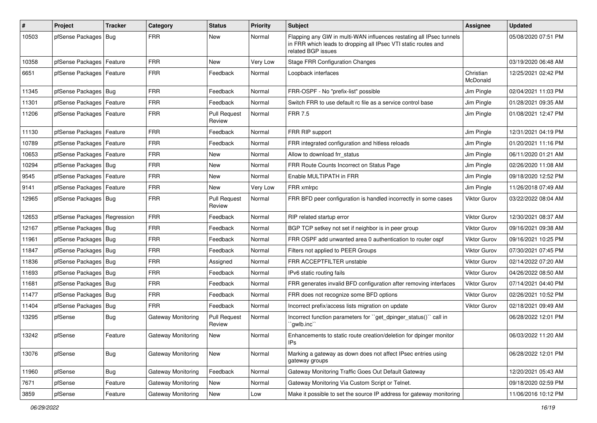| #     | Project                    | <b>Tracker</b> | Category                  | <b>Status</b>                 | <b>Priority</b> | <b>Subject</b>                                                                                                                                              | Assignee              | <b>Updated</b>      |
|-------|----------------------------|----------------|---------------------------|-------------------------------|-----------------|-------------------------------------------------------------------------------------------------------------------------------------------------------------|-----------------------|---------------------|
| 10503 | pfSense Packages   Bug     |                | <b>FRR</b>                | New                           | Normal          | Flapping any GW in multi-WAN influences restating all IPsec tunnels<br>in FRR which leads to dropping all IPsec VTI static routes and<br>related BGP issues |                       | 05/08/2020 07:51 PM |
| 10358 | pfSense Packages   Feature |                | <b>FRR</b>                | New                           | Very Low        | <b>Stage FRR Configuration Changes</b>                                                                                                                      |                       | 03/19/2020 06:48 AM |
| 6651  | pfSense Packages   Feature |                | <b>FRR</b>                | Feedback                      | Normal          | Loopback interfaces                                                                                                                                         | Christian<br>McDonald | 12/25/2021 02:42 PM |
| 11345 | pfSense Packages   Bug     |                | <b>FRR</b>                | Feedback                      | Normal          | FRR-OSPF - No "prefix-list" possible                                                                                                                        | Jim Pingle            | 02/04/2021 11:03 PM |
| 11301 | pfSense Packages           | Feature        | <b>FRR</b>                | Feedback                      | Normal          | Switch FRR to use default rc file as a service control base                                                                                                 | Jim Pingle            | 01/28/2021 09:35 AM |
| 11206 | pfSense Packages   Feature |                | <b>FRR</b>                | <b>Pull Request</b><br>Review | Normal          | <b>FRR 7.5</b>                                                                                                                                              | Jim Pingle            | 01/08/2021 12:47 PM |
| 11130 | pfSense Packages   Feature |                | <b>FRR</b>                | Feedback                      | Normal          | FRR RIP support                                                                                                                                             | Jim Pingle            | 12/31/2021 04:19 PM |
| 10789 | pfSense Packages   Feature |                | <b>FRR</b>                | Feedback                      | Normal          | FRR integrated configuration and hitless reloads                                                                                                            | Jim Pingle            | 01/20/2021 11:16 PM |
| 10653 | pfSense Packages   Feature |                | <b>FRR</b>                | New                           | Normal          | Allow to download frr status                                                                                                                                | Jim Pingle            | 06/11/2020 01:21 AM |
| 10294 | pfSense Packages   Bug     |                | <b>FRR</b>                | New                           | Normal          | FRR Route Counts Incorrect on Status Page                                                                                                                   | Jim Pingle            | 02/26/2020 11:08 AM |
| 9545  | pfSense Packages   Feature |                | <b>FRR</b>                | New                           | Normal          | Enable MULTIPATH in FRR                                                                                                                                     | Jim Pingle            | 09/18/2020 12:52 PM |
| 9141  | pfSense Packages           | Feature        | <b>FRR</b>                | New                           | Very Low        | FRR xmlrpc                                                                                                                                                  | Jim Pingle            | 11/26/2018 07:49 AM |
| 12965 | pfSense Packages   Bug     |                | <b>FRR</b>                | <b>Pull Request</b><br>Review | Normal          | FRR BFD peer configuration is handled incorrectly in some cases                                                                                             | <b>Viktor Gurov</b>   | 03/22/2022 08:04 AM |
| 12653 | pfSense Packages           | Regression     | <b>FRR</b>                | Feedback                      | Normal          | RIP related startup error                                                                                                                                   | <b>Viktor Gurov</b>   | 12/30/2021 08:37 AM |
| 12167 | pfSense Packages   Bug     |                | <b>FRR</b>                | Feedback                      | Normal          | BGP TCP setkey not set if neighbor is in peer group                                                                                                         | <b>Viktor Gurov</b>   | 09/16/2021 09:38 AM |
| 11961 | pfSense Packages           | Bug            | <b>FRR</b>                | Feedback                      | Normal          | FRR OSPF add unwanted area 0 authentication to router ospf                                                                                                  | <b>Viktor Gurov</b>   | 09/16/2021 10:25 PM |
| 11847 | pfSense Packages   Bug     |                | <b>FRR</b>                | Feedback                      | Normal          | Filters not applied to PEER Groups                                                                                                                          | <b>Viktor Gurov</b>   | 07/30/2021 07:45 PM |
| 11836 | pfSense Packages   Bug     |                | <b>FRR</b>                | Assigned                      | Normal          | FRR ACCEPTFILTER unstable                                                                                                                                   | <b>Viktor Gurov</b>   | 02/14/2022 07:20 AM |
| 11693 | pfSense Packages   Bug     |                | <b>FRR</b>                | Feedback                      | Normal          | IPv6 static routing fails                                                                                                                                   | Viktor Gurov          | 04/26/2022 08:50 AM |
| 11681 | pfSense Packages   Bug     |                | <b>FRR</b>                | Feedback                      | Normal          | FRR generates invalid BFD configuration after removing interfaces                                                                                           | <b>Viktor Gurov</b>   | 07/14/2021 04:40 PM |
| 11477 | pfSense Packages   Bug     |                | <b>FRR</b>                | Feedback                      | Normal          | FRR does not recognize some BFD options                                                                                                                     | Viktor Gurov          | 02/26/2021 10:52 PM |
| 11404 | pfSense Packages           | Bug            | <b>FRR</b>                | Feedback                      | Normal          | Incorrect prefix/access lists migration on update                                                                                                           | <b>Viktor Gurov</b>   | 02/18/2021 09:49 AM |
| 13295 | pfSense                    | <b>Bug</b>     | <b>Gateway Monitoring</b> | <b>Pull Request</b><br>Review | Normal          | Incorrect function parameters for "get_dpinger_status()" call in<br>`gwlb.inc``                                                                             |                       | 06/28/2022 12:01 PM |
| 13242 | pfSense                    | Feature        | <b>Gateway Monitoring</b> | New                           | Normal          | Enhancements to static route creation/deletion for dpinger monitor<br>$IPs$                                                                                 |                       | 06/03/2022 11:20 AM |
| 13076 | pfSense                    | <b>Bug</b>     | Gateway Monitoring        | New                           | Normal          | Marking a gateway as down does not affect IPsec entries using<br>gateway groups                                                                             |                       | 06/28/2022 12:01 PM |
| 11960 | pfSense                    | <b>Bug</b>     | Gateway Monitoring        | Feedback                      | Normal          | Gateway Monitoring Traffic Goes Out Default Gateway                                                                                                         |                       | 12/20/2021 05:43 AM |
| 7671  | pfSense                    | Feature        | Gateway Monitoring        | New                           | Normal          | Gateway Monitoring Via Custom Script or Telnet.                                                                                                             |                       | 09/18/2020 02:59 PM |
| 3859  | pfSense                    | Feature        | Gateway Monitoring        | New                           | Low             | Make it possible to set the source IP address for gateway monitoring                                                                                        |                       | 11/06/2016 10:12 PM |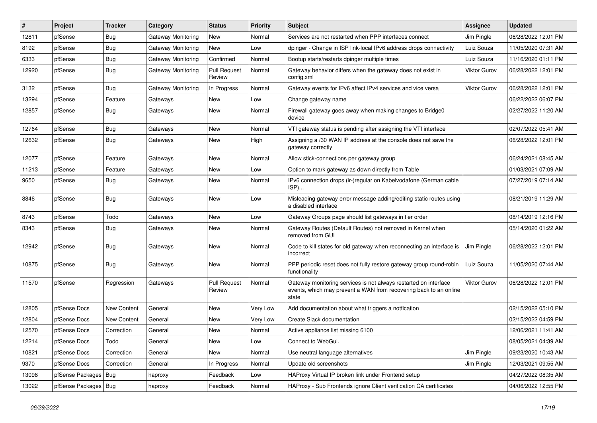| #     | Project                | <b>Tracker</b>     | Category                  | <b>Status</b>                 | <b>Priority</b> | <b>Subject</b>                                                                                                                                 | <b>Assignee</b>     | <b>Updated</b>      |
|-------|------------------------|--------------------|---------------------------|-------------------------------|-----------------|------------------------------------------------------------------------------------------------------------------------------------------------|---------------------|---------------------|
| 12811 | pfSense                | <b>Bug</b>         | <b>Gateway Monitoring</b> | New                           | Normal          | Services are not restarted when PPP interfaces connect                                                                                         | Jim Pingle          | 06/28/2022 12:01 PM |
| 8192  | pfSense                | <b>Bug</b>         | Gateway Monitoring        | New                           | Low             | dpinger - Change in ISP link-local IPv6 address drops connectivity                                                                             | Luiz Souza          | 11/05/2020 07:31 AM |
| 6333  | pfSense                | <b>Bug</b>         | Gateway Monitoring        | Confirmed                     | Normal          | Bootup starts/restarts dpinger multiple times                                                                                                  | Luiz Souza          | 11/16/2020 01:11 PM |
| 12920 | pfSense                | <b>Bug</b>         | Gateway Monitoring        | <b>Pull Request</b><br>Review | Normal          | Gateway behavior differs when the gateway does not exist in<br>config.xml                                                                      | <b>Viktor Gurov</b> | 06/28/2022 12:01 PM |
| 3132  | pfSense                | <b>Bug</b>         | Gateway Monitoring        | In Progress                   | Normal          | Gateway events for IPv6 affect IPv4 services and vice versa                                                                                    | <b>Viktor Gurov</b> | 06/28/2022 12:01 PM |
| 13294 | pfSense                | Feature            | Gateways                  | New                           | Low             | Change gateway name                                                                                                                            |                     | 06/22/2022 06:07 PM |
| 12857 | pfSense                | <b>Bug</b>         | Gateways                  | New                           | Normal          | Firewall gateway goes away when making changes to Bridge0<br>device                                                                            |                     | 02/27/2022 11:20 AM |
| 12764 | pfSense                | <b>Bug</b>         | Gateways                  | New                           | Normal          | VTI gateway status is pending after assigning the VTI interface                                                                                |                     | 02/07/2022 05:41 AM |
| 12632 | pfSense                | <b>Bug</b>         | Gateways                  | New                           | High            | Assigning a /30 WAN IP address at the console does not save the<br>gateway correctly                                                           |                     | 06/28/2022 12:01 PM |
| 12077 | pfSense                | Feature            | Gateways                  | New                           | Normal          | Allow stick-connections per gateway group                                                                                                      |                     | 06/24/2021 08:45 AM |
| 11213 | pfSense                | Feature            | Gateways                  | New                           | Low             | Option to mark gateway as down directly from Table                                                                                             |                     | 01/03/2021 07:09 AM |
| 9650  | pfSense                | <b>Bug</b>         | Gateways                  | New                           | Normal          | IPv6 connection drops (ir-)regular on Kabelvodafone (German cable<br>ISP)                                                                      |                     | 07/27/2019 07:14 AM |
| 8846  | pfSense                | <b>Bug</b>         | Gateways                  | New                           | Low             | Misleading gateway error message adding/editing static routes using<br>a disabled interface                                                    |                     | 08/21/2019 11:29 AM |
| 8743  | pfSense                | Todo               | Gateways                  | New                           | Low             | Gateway Groups page should list gateways in tier order                                                                                         |                     | 08/14/2019 12:16 PM |
| 8343  | pfSense                | <b>Bug</b>         | Gateways                  | New                           | Normal          | Gateway Routes (Default Routes) not removed in Kernel when<br>removed from GUI                                                                 |                     | 05/14/2020 01:22 AM |
| 12942 | pfSense                | <b>Bug</b>         | Gateways                  | New                           | Normal          | Code to kill states for old gateway when reconnecting an interface is<br>incorrect                                                             | Jim Pingle          | 06/28/2022 12:01 PM |
| 10875 | pfSense                | <b>Bug</b>         | Gateways                  | New                           | Normal          | PPP periodic reset does not fully restore gateway group round-robin<br>functionality                                                           | Luiz Souza          | 11/05/2020 07:44 AM |
| 11570 | pfSense                | Regression         | Gateways                  | <b>Pull Request</b><br>Review | Normal          | Gateway monitoring services is not always restarted on interface<br>events, which may prevent a WAN from recovering back to an online<br>state | Viktor Gurov        | 06/28/2022 12:01 PM |
| 12805 | pfSense Docs           | New Content        | General                   | New                           | Very Low        | Add documentation about what triggers a notfication                                                                                            |                     | 02/15/2022 05:10 PM |
| 12804 | pfSense Docs           | <b>New Content</b> | General                   | New                           | Very Low        | Create Slack documentation                                                                                                                     |                     | 02/15/2022 04:59 PM |
| 12570 | pfSense Docs           | Correction         | General                   | New                           | Normal          | Active appliance list missing 6100                                                                                                             |                     | 12/06/2021 11:41 AM |
| 12214 | pfSense Docs           | Todo               | General                   | New                           | Low             | Connect to WebGui.                                                                                                                             |                     | 08/05/2021 04:39 AM |
| 10821 | pfSense Docs           | Correction         | General                   | New                           | Normal          | Use neutral language alternatives                                                                                                              | Jim Pingle          | 09/23/2020 10:43 AM |
| 9370  | pfSense Docs           | Correction         | General                   | In Progress                   | Normal          | Update old screenshots                                                                                                                         | Jim Pingle          | 12/03/2021 09:55 AM |
| 13098 | pfSense Packages   Bug |                    | haproxy                   | Feedback                      | Low             | HAProxy Virtual IP broken link under Frontend setup                                                                                            |                     | 04/27/2022 08:35 AM |
| 13022 | pfSense Packages   Bug |                    | haproxy                   | Feedback                      | Normal          | HAProxy - Sub Frontends ignore Client verification CA certificates                                                                             |                     | 04/06/2022 12:55 PM |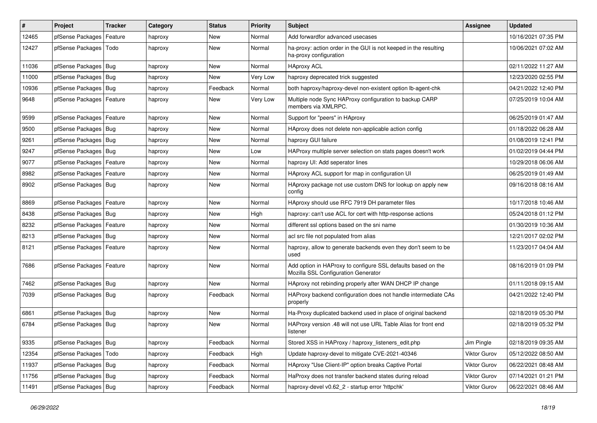| $\vert$ # | Project                    | <b>Tracker</b> | Category | <b>Status</b> | <b>Priority</b> | <b>Subject</b>                                                                                      | Assignee     | <b>Updated</b>      |
|-----------|----------------------------|----------------|----------|---------------|-----------------|-----------------------------------------------------------------------------------------------------|--------------|---------------------|
| 12465     | pfSense Packages           | Feature        | haproxy  | New           | Normal          | Add forwardfor advanced usecases                                                                    |              | 10/16/2021 07:35 PM |
| 12427     | pfSense Packages   Todo    |                | haproxy  | New           | Normal          | ha-proxy: action order in the GUI is not keeped in the resulting<br>ha-proxy configuration          |              | 10/06/2021 07:02 AM |
| 11036     | pfSense Packages   Bug     |                | haproxy  | <b>New</b>    | Normal          | <b>HAproxy ACL</b>                                                                                  |              | 02/11/2022 11:27 AM |
| 11000     | pfSense Packages   Bug     |                | haproxy  | <b>New</b>    | Very Low        | haproxy deprecated trick suggested                                                                  |              | 12/23/2020 02:55 PM |
| 10936     | pfSense Packages   Bug     |                | haproxy  | Feedback      | Normal          | both haproxy/haproxy-devel non-existent option lb-agent-chk                                         |              | 04/21/2022 12:40 PM |
| 9648      | pfSense Packages   Feature |                | haproxy  | New           | Very Low        | Multiple node Sync HAProxy configuration to backup CARP<br>members via XMLRPC.                      |              | 07/25/2019 10:04 AM |
| 9599      | pfSense Packages   Feature |                | haproxy  | New           | Normal          | Support for "peers" in HAproxy                                                                      |              | 06/25/2019 01:47 AM |
| 9500      | pfSense Packages   Bug     |                | haproxy  | New           | Normal          | HAproxy does not delete non-applicable action config                                                |              | 01/18/2022 06:28 AM |
| 9261      | pfSense Packages   Bug     |                | haproxy  | New           | Normal          | haproxy GUI failure                                                                                 |              | 01/08/2019 12:41 PM |
| 9247      | pfSense Packages   Bug     |                | haproxy  | New           | Low             | HAProxy multiple server selection on stats pages doesn't work                                       |              | 01/02/2019 04:44 PM |
| 9077      | pfSense Packages           | Feature        | haproxy  | New           | Normal          | haproxy UI: Add seperator lines                                                                     |              | 10/29/2018 06:06 AM |
| 8982      | pfSense Packages   Feature |                | haproxy  | New           | Normal          | HAproxy ACL support for map in configuration UI                                                     |              | 06/25/2019 01:49 AM |
| 8902      | pfSense Packages   Bug     |                | haproxy  | New           | Normal          | HAproxy package not use custom DNS for lookup on apply new<br>config                                |              | 09/16/2018 08:16 AM |
| 8869      | pfSense Packages   Feature |                | haproxy  | New           | Normal          | HAproxy should use RFC 7919 DH parameter files                                                      |              | 10/17/2018 10:46 AM |
| 8438      | pfSense Packages   Bug     |                | haproxy  | New           | High            | haproxy: can't use ACL for cert with http-response actions                                          |              | 05/24/2018 01:12 PM |
| 8232      | pfSense Packages   Feature |                | haproxy  | New           | Normal          | different ssl options based on the sni name                                                         |              | 01/30/2019 10:36 AM |
| 8213      | pfSense Packages   Bug     |                | haproxy  | New           | Normal          | acl src file not populated from alias                                                               |              | 12/21/2017 02:02 PM |
| 8121      | pfSense Packages           | Feature        | haproxy  | New           | Normal          | haproxy, allow to generate backends even they don't seem to be<br>used                              |              | 11/23/2017 04:04 AM |
| 7686      | pfSense Packages   Feature |                | haproxy  | New           | Normal          | Add option in HAProxy to configure SSL defaults based on the<br>Mozilla SSL Configuration Generator |              | 08/16/2019 01:09 PM |
| 7462      | pfSense Packages   Bug     |                | haproxy  | <b>New</b>    | Normal          | HAproxy not rebinding properly after WAN DHCP IP change                                             |              | 01/11/2018 09:15 AM |
| 7039      | pfSense Packages   Bug     |                | haproxy  | Feedback      | Normal          | HAProxy backend configuration does not handle intermediate CAs<br>properly                          |              | 04/21/2022 12:40 PM |
| 6861      | pfSense Packages   Bug     |                | haproxy  | <b>New</b>    | Normal          | Ha-Proxy duplicated backend used in place of original backend                                       |              | 02/18/2019 05:30 PM |
| 6784      | pfSense Packages   Bug     |                | haproxy  | <b>New</b>    | Normal          | HAProxy version .48 will not use URL Table Alias for front end<br>listener                          |              | 02/18/2019 05:32 PM |
| 9335      | pfSense Packages   Bug     |                | haproxy  | Feedback      | Normal          | Stored XSS in HAProxy / haproxy_listeners_edit.php                                                  | Jim Pingle   | 02/18/2019 09:35 AM |
| 12354     | pfSense Packages   Todo    |                | haproxy  | Feedback      | High            | Update haproxy-devel to mitigate CVE-2021-40346                                                     | Viktor Gurov | 05/12/2022 08:50 AM |
| 11937     | pfSense Packages   Bug     |                | haproxy  | Feedback      | Normal          | HAproxy "Use Client-IP" option breaks Captive Portal                                                | Viktor Gurov | 06/22/2021 08:48 AM |
| 11756     | pfSense Packages   Bug     |                | haproxy  | Feedback      | Normal          | HaProxy does not transfer backend states during reload                                              | Viktor Gurov | 07/14/2021 01:21 PM |
| 11491     | pfSense Packages   Bug     |                | haproxy  | Feedback      | Normal          | haproxy-devel v0.62_2 - startup error 'httpchk'                                                     | Viktor Gurov | 06/22/2021 08:46 AM |